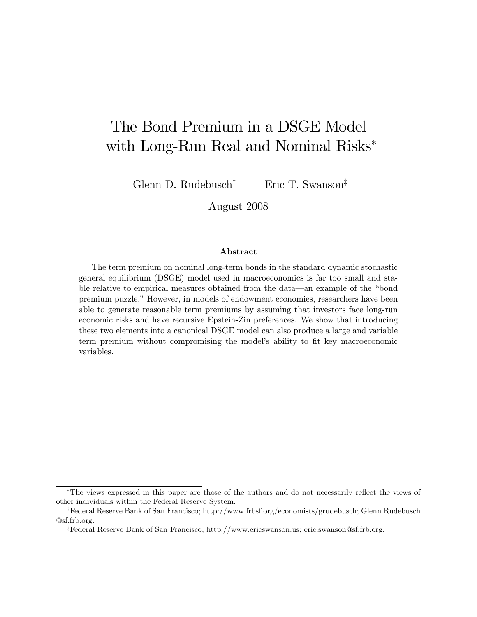# The Bond Premium in a DSGE Model with Long-Run Real and Nominal Risks

Glenn D. Rudebusch<sup>†</sup> Eric T. Swanson<sup>‡</sup>

August 2008

#### Abstract

The term premium on nominal long-term bonds in the standard dynamic stochastic general equilibrium (DSGE) model used in macroeconomics is far too small and stable relative to empirical measures obtained from the data—an example of the "bond" premium puzzle." However, in models of endowment economies, researchers have been able to generate reasonable term premiums by assuming that investors face long-run economic risks and have recursive Epstein-Zin preferences. We show that introducing these two elements into a canonical DSGE model can also produce a large and variable term premium without compromising the model's ability to fit key macroeconomic variables.

<sup>\*</sup>The views expressed in this paper are those of the authors and do not necessarily reflect the views of other individuals within the Federal Reserve System.

<sup>y</sup>Federal Reserve Bank of San Francisco; http://www.frbsf.org/economists/grudebusch; Glenn.Rudebusch @sf.frb.org.

zFederal Reserve Bank of San Francisco; http://www.ericswanson.us; eric.swanson@sf.frb.org.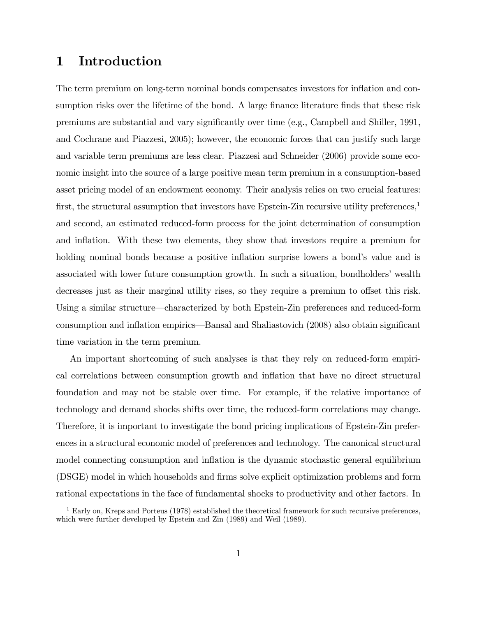## 1 Introduction

The term premium on long-term nominal bonds compensates investors for inflation and consumption risks over the lifetime of the bond. A large finance literature finds that these risk premiums are substantial and vary signiÖcantly over time (e.g., Campbell and Shiller, 1991, and Cochrane and Piazzesi, 2005); however, the economic forces that can justify such large and variable term premiums are less clear. Piazzesi and Schneider (2006) provide some economic insight into the source of a large positive mean term premium in a consumption-based asset pricing model of an endowment economy. Their analysis relies on two crucial features: first, the structural assumption that investors have Epstein-Zin recursive utility preferences, $\frac{1}{2}$ and second, an estimated reduced-form process for the joint determination of consumption and inflation. With these two elements, they show that investors require a premium for holding nominal bonds because a positive inflation surprise lowers a bond's value and is associated with lower future consumption growth. In such a situation, bondholders' wealth decreases just as their marginal utility rises, so they require a premium to offset this risk. Using a similar structure—characterized by both Epstein-Zin preferences and reduced-form consumption and inflation empirics—Bansal and Shaliastovich (2008) also obtain significant time variation in the term premium.

An important shortcoming of such analyses is that they rely on reduced-form empirical correlations between consumption growth and inflation that have no direct structural foundation and may not be stable over time. For example, if the relative importance of technology and demand shocks shifts over time, the reduced-form correlations may change. Therefore, it is important to investigate the bond pricing implications of Epstein-Zin preferences in a structural economic model of preferences and technology. The canonical structural model connecting consumption and inflation is the dynamic stochastic general equilibrium (DSGE) model in which households and Örms solve explicit optimization problems and form rational expectations in the face of fundamental shocks to productivity and other factors. In

 $1$  Early on, Kreps and Porteus (1978) established the theoretical framework for such recursive preferences, which were further developed by Epstein and Zin (1989) and Weil (1989).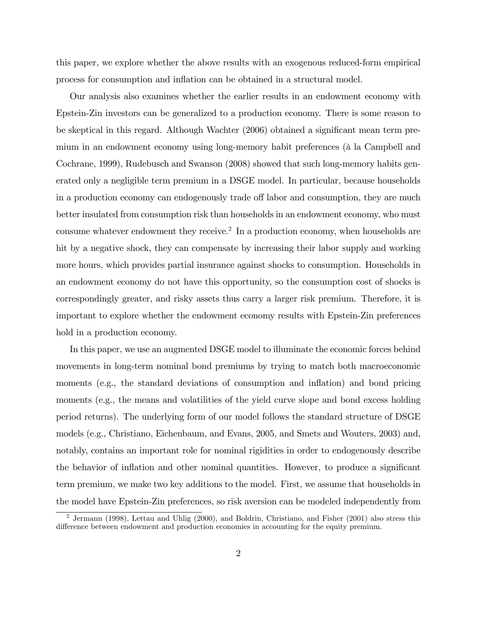this paper, we explore whether the above results with an exogenous reduced-form empirical process for consumption and ináation can be obtained in a structural model.

Our analysis also examines whether the earlier results in an endowment economy with Epstein-Zin investors can be generalized to a production economy. There is some reason to be skeptical in this regard. Although Wachter (2006) obtained a significant mean term premium in an endowment economy using long-memory habit preferences (à la Campbell and Cochrane, 1999), Rudebusch and Swanson (2008) showed that such long-memory habits generated only a negligible term premium in a DSGE model. In particular, because households in a production economy can endogenously trade off labor and consumption, they are much better insulated from consumption risk than households in an endowment economy, who must consume whatever endowment they receive.<sup>2</sup> In a production economy, when households are hit by a negative shock, they can compensate by increasing their labor supply and working more hours, which provides partial insurance against shocks to consumption. Households in an endowment economy do not have this opportunity, so the consumption cost of shocks is correspondingly greater, and risky assets thus carry a larger risk premium. Therefore, it is important to explore whether the endowment economy results with Epstein-Zin preferences hold in a production economy.

In this paper, we use an augmented DSGE model to illuminate the economic forces behind movements in long-term nominal bond premiums by trying to match both macroeconomic moments (e.g., the standard deviations of consumption and inflation) and bond pricing moments (e.g., the means and volatilities of the yield curve slope and bond excess holding period returns). The underlying form of our model follows the standard structure of DSGE models (e.g., Christiano, Eichenbaum, and Evans, 2005, and Smets and Wouters, 2003) and, notably, contains an important role for nominal rigidities in order to endogenously describe the behavior of inflation and other nominal quantities. However, to produce a significant term premium, we make two key additions to the model. First, we assume that households in the model have Epstein-Zin preferences, so risk aversion can be modeled independently from

<sup>2</sup> Jermann (1998), Lettau and Uhlig (2000), and Boldrin, Christiano, and Fisher (2001) also stress this difference between endowment and production economies in accounting for the equity premium.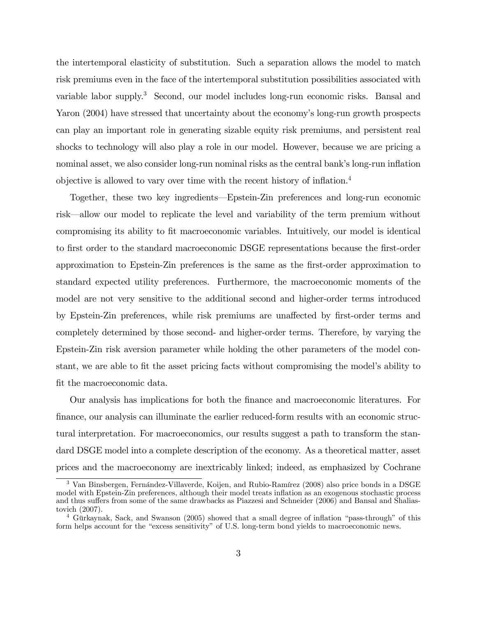the intertemporal elasticity of substitution. Such a separation allows the model to match risk premiums even in the face of the intertemporal substitution possibilities associated with variable labor supply.<sup>3</sup> Second, our model includes long-run economic risks. Bansal and Yaron (2004) have stressed that uncertainty about the economy's long-run growth prospects can play an important role in generating sizable equity risk premiums, and persistent real shocks to technology will also play a role in our model. However, because we are pricing a nominal asset, we also consider long-run nominal risks as the central bank's long-run inflation objective is allowed to vary over time with the recent history of inflation. $4$ 

Together, these two key ingredients—Epstein-Zin preferences and long-run economic risk—allow our model to replicate the level and variability of the term premium without compromising its ability to Öt macroeconomic variables. Intuitively, our model is identical to first order to the standard macroeconomic DSGE representations because the first-order approximation to Epstein-Zin preferences is the same as the first-order approximation to standard expected utility preferences. Furthermore, the macroeconomic moments of the model are not very sensitive to the additional second and higher-order terms introduced by Epstein-Zin preferences, while risk premiums are unaffected by first-order terms and completely determined by those second- and higher-order terms. Therefore, by varying the Epstein-Zin risk aversion parameter while holding the other parameters of the model constant, we are able to fit the asset pricing facts without compromising the model's ability to fit the macroeconomic data.

Our analysis has implications for both the Önance and macroeconomic literatures. For Önance, our analysis can illuminate the earlier reduced-form results with an economic structural interpretation. For macroeconomics, our results suggest a path to transform the standard DSGE model into a complete description of the economy. As a theoretical matter, asset prices and the macroeconomy are inextricably linked; indeed, as emphasized by Cochrane

<sup>&</sup>lt;sup>3</sup> Van Binsbergen, Fernández-Villaverde, Koijen, and Rubio-Ramírez (2008) also price bonds in a DSGE model with Epstein-Zin preferences, although their model treats ináation as an exogenous stochastic process and thus suffers from some of the same drawbacks as Piazzesi and Schneider (2006) and Bansal and Shaliastovich (2007).

<sup>&</sup>lt;sup>4</sup> Gürkaynak, Sack, and Swanson (2005) showed that a small degree of inflation "pass-through" of this form helps account for the "excess sensitivity" of U.S. long-term bond yields to macroeconomic news.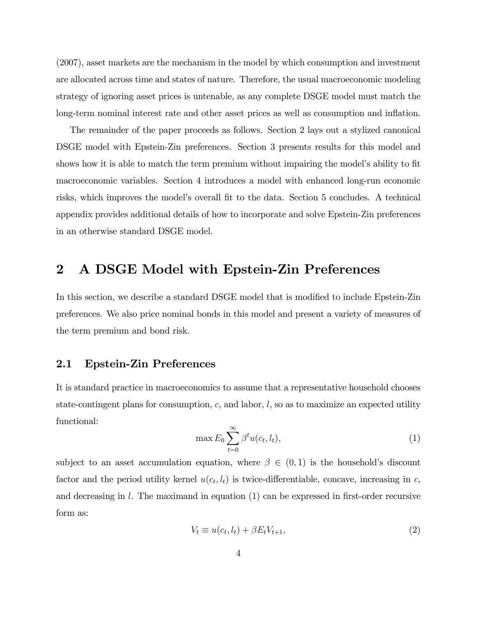(2007), asset markets are the mechanism in the model by which consumption and investment are allocated across time and states of nature. Therefore, the usual macroeconomic modeling strategy of ignoring asset prices is untenable, as any complete DSGE model must match the long-term nominal interest rate and other asset prices as well as consumption and inflation.

The remainder of the paper proceeds as follows. Section 2 lays out a stylized canonical DSGE model with Epstein-Zin preferences. Section 3 presents results for this model and shows how it is able to match the term premium without impairing the model's ability to fit macroeconomic variables. Section 4 introduces a model with enhanced long-run economic risks, which improves the model's overall fit to the data. Section 5 concludes. A technical appendix provides additional details of how to incorporate and solve Epstein-Zin preferences in an otherwise standard DSGE model.

### 2 A DSGE Model with Epstein-Zin Preferences

In this section, we describe a standard DSGE model that is modified to include Epstein-Zin preferences. We also price nominal bonds in this model and present a variety of measures of the term premium and bond risk.

### 2.1 Epstein-Zin Preferences

It is standard practice in macroeconomics to assume that a representative household chooses state-contingent plans for consumption,  $c$ , and labor,  $l$ , so as to maximize an expected utility functional:

$$
\max E_0 \sum_{t=0}^{\infty} \beta^t u(c_t, l_t), \tag{1}
$$

subject to an asset accumulation equation, where  $\beta \in (0,1)$  is the household's discount factor and the period utility kernel  $u(c_t, l_t)$  is twice-differentiable, concave, increasing in c, and decreasing in  $l$ . The maximand in equation (1) can be expressed in first-order recursive form as:

$$
V_t \equiv u(c_t, l_t) + \beta E_t V_{t+1},\tag{2}
$$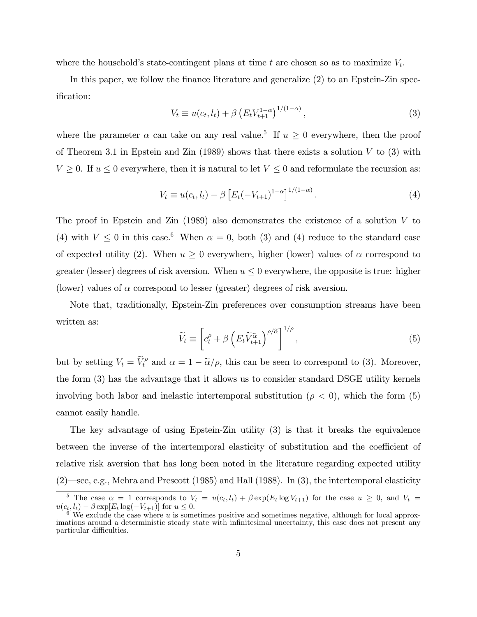where the household's state-contingent plans at time  $t$  are chosen so as to maximize  $V_t$ .

In this paper, we follow the finance literature and generalize  $(2)$  to an Epstein-Zin specification:

$$
V_t \equiv u(c_t, l_t) + \beta \left( E_t V_{t+1}^{1-\alpha} \right)^{1/(1-\alpha)}, \tag{3}
$$

where the parameter  $\alpha$  can take on any real value.<sup>5</sup> If  $u \geq 0$  everywhere, then the proof of Theorem 3.1 in Epstein and Zin (1989) shows that there exists a solution  $V$  to (3) with  $V \geq 0$ . If  $u \leq 0$  everywhere, then it is natural to let  $V \leq 0$  and reformulate the recursion as:

$$
V_t \equiv u(c_t, l_t) - \beta \left[ E_t(-V_{t+1})^{1-\alpha} \right]^{1/(1-\alpha)}.
$$
\n(4)

The proof in Epstein and Zin (1989) also demonstrates the existence of a solution V to (4) with  $V \leq 0$  in this case.<sup>6</sup> When  $\alpha = 0$ , both (3) and (4) reduce to the standard case of expected utility (2). When  $u \geq 0$  everywhere, higher (lower) values of  $\alpha$  correspond to greater (lesser) degrees of risk aversion. When  $u \leq 0$  everywhere, the opposite is true: higher (lower) values of  $\alpha$  correspond to lesser (greater) degrees of risk aversion.

Note that, traditionally, Epstein-Zin preferences over consumption streams have been written as:

$$
\widetilde{V}_t \equiv \left[ c_t^{\rho} + \beta \left( E_t \widetilde{V}_{t+1}^{\widetilde{\alpha}} \right)^{\rho/\widetilde{\alpha}} \right]^{1/\rho}, \tag{5}
$$

but by setting  $V_t = \tilde{V}_t^{\rho}$  and  $\alpha = 1 - \tilde{\alpha}/\rho$ , this can be seen to correspond to (3). Moreover, the form (3) has the advantage that it allows us to consider standard DSGE utility kernels involving both labor and inelastic intertemporal substitution ( $\rho < 0$ ), which the form (5) cannot easily handle.

The key advantage of using Epstein-Zin utility (3) is that it breaks the equivalence between the inverse of the intertemporal elasticity of substitution and the coefficient of relative risk aversion that has long been noted in the literature regarding expected utility  $(2)$ —see, e.g., Mehra and Prescott (1985) and Hall (1988). In (3), the intertemporal elasticity

<sup>&</sup>lt;sup>5</sup> The case  $\alpha = 1$  corresponds to  $V_t = u(c_t, l_t) + \beta \exp(E_t \log V_{t+1})$  for the case  $u \geq 0$ , and  $V_t =$  $u(c_t, l_t) - \beta \exp[E_t \log(-V_{t+1})]$  for  $u \leq 0$ .<br><sup>6</sup> We exclude the case where u is sometimes positive and sometimes negative, although for local approx-

imations around a deterministic steady state with infinitesimal uncertainty, this case does not present any particular difficulties.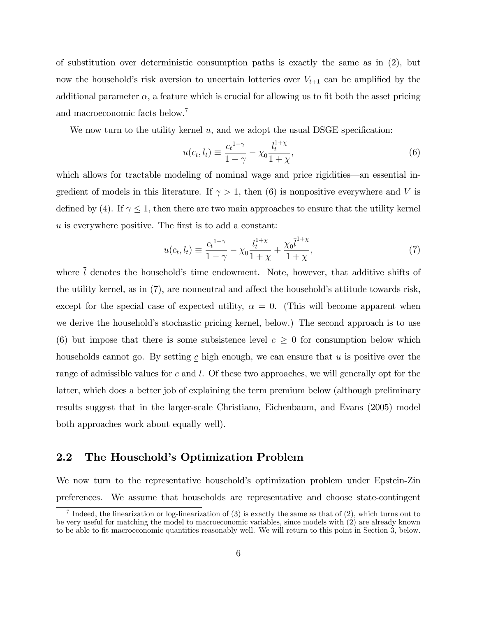of substitution over deterministic consumption paths is exactly the same as in (2), but now the household's risk aversion to uncertain lotteries over  $V_{t+1}$  can be amplified by the additional parameter  $\alpha$ , a feature which is crucial for allowing us to fit both the asset pricing and macroeconomic facts below.<sup>7</sup>

We now turn to the utility kernel  $u$ , and we adopt the usual DSGE specification:

$$
u(c_t, l_t) \equiv \frac{c_t^{1-\gamma}}{1-\gamma} - \chi_0 \frac{l_t^{1+\chi}}{1+\chi},
$$
\n(6)

which allows for tractable modeling of nominal wage and price rigidities—an essential ingredient of models in this literature. If  $\gamma > 1$ , then (6) is nonpositive everywhere and V is defined by (4). If  $\gamma \leq 1$ , then there are two main approaches to ensure that the utility kernel  $u$  is everywhere positive. The first is to add a constant:

$$
u(c_t, l_t) \equiv \frac{c_t^{1-\gamma}}{1-\gamma} - \chi_0 \frac{l_t^{1+\chi}}{1+\chi} + \frac{\chi_0 \bar{l}^{1+\chi}}{1+\chi},
$$
\n(7)

where  $\overline{l}$  denotes the household's time endowment. Note, however, that additive shifts of the utility kernel, as in  $(7)$ , are nonneutral and affect the household's attitude towards risk, except for the special case of expected utility,  $\alpha = 0$ . (This will become apparent when we derive the household's stochastic pricing kernel, below.) The second approach is to use (6) but impose that there is some subsistence level  $c \geq 0$  for consumption below which households cannot go. By setting  $c$  high enough, we can ensure that u is positive over the range of admissible values for c and l. Of these two approaches, we will generally opt for the latter, which does a better job of explaining the term premium below (although preliminary results suggest that in the larger-scale Christiano, Eichenbaum, and Evans (2005) model both approaches work about equally well).

### 2.2 The Household's Optimization Problem

We now turn to the representative household's optimization problem under Epstein-Zin preferences. We assume that households are representative and choose state-contingent

<sup>&</sup>lt;sup>7</sup> Indeed, the linearization or log-linearization of (3) is exactly the same as that of (2), which turns out to be very useful for matching the model to macroeconomic variables, since models with (2) are already known to be able to Öt macroeconomic quantities reasonably well. We will return to this point in Section 3, below.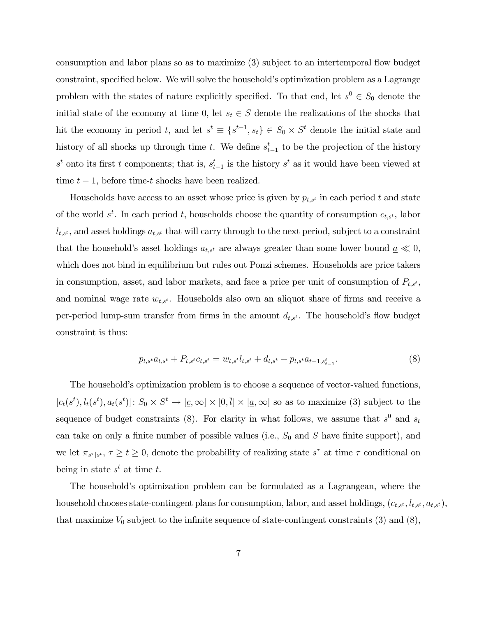consumption and labor plans so as to maximize (3) subject to an intertemporal flow budget constraint, specified below. We will solve the household's optimization problem as a Lagrange problem with the states of nature explicitly specified. To that end, let  $s^0 \in S_0$  denote the initial state of the economy at time 0, let  $s_t \in S$  denote the realizations of the shocks that hit the economy in period t, and let  $s^t \equiv \{s^{t-1}, s_t\} \in S_0 \times S^t$  denote the initial state and history of all shocks up through time t. We define  $s_{t-1}^t$  to be the projection of the history  $s<sup>t</sup>$  onto its first t components; that is,  $s<sup>t</sup>_{t-1}$  is the history  $s<sup>t</sup>$  as it would have been viewed at time  $t - 1$ , before time-t shocks have been realized.

Households have access to an asset whose price is given by  $p_{t,s}$  in each period t and state of the world  $s^t$ . In each period t, households choose the quantity of consumption  $c_{t,s^t}$ , labor  $l_{t,s'}$ , and asset holdings  $a_{t,s'}$  that will carry through to the next period, subject to a constraint that the household's asset holdings  $a_{t,s}$  are always greater than some lower bound  $\underline{a} \ll 0$ , which does not bind in equilibrium but rules out Ponzi schemes. Households are price takers in consumption, asset, and labor markets, and face a price per unit of consumption of  $P_{t,s^t}$ , and nominal wage rate  $w_{t,s}$ . Households also own an aliquot share of firms and receive a per-period lump-sum transfer from firms in the amount  $d_{t,s}$ . The household's flow budget constraint is thus:

$$
p_{t,s} a_{t,s} + P_{t,s} a_{t,s} = w_{t,s} a_{t,s} + d_{t,s} + p_{t,s} a_{t-1,s_{t-1}^t}.
$$
\n
$$
(8)
$$

The household's optimization problem is to choose a sequence of vector-valued functions,  $[c_t(s^t), l_t(s^t), a_t(s^t)]\colon S_0 \times S^t \to [\underline{c}, \infty] \times [0, \overline{l}] \times [\underline{a}, \infty]$  so as to maximize (3) subject to the sequence of budget constraints (8). For clarity in what follows, we assume that  $s^0$  and  $s_t$ can take on only a finite number of possible values (i.e.,  $S_0$  and S have finite support), and we let  $\pi_{s^{\tau}|s^t}$ ,  $\tau \geq t \geq 0$ , denote the probability of realizing state  $s^{\tau}$  at time  $\tau$  conditional on being in state  $s^t$  at time t.

The householdís optimization problem can be formulated as a Lagrangean, where the household chooses state-contingent plans for consumption, labor, and asset holdings,  $(c_{t,s^t}, l_{t,s^t}, a_{t,s^t})$ , that maximize  $V_0$  subject to the infinite sequence of state-contingent constraints (3) and (8),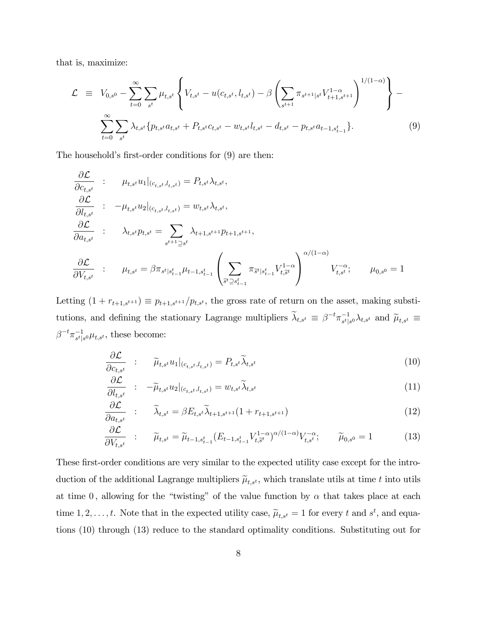that is, maximize:

$$
\mathcal{L} \equiv V_{0,s^0} - \sum_{t=0}^{\infty} \sum_{s^t} \mu_{t,s^t} \left\{ V_{t,s^t} - u(c_{t,s^t}, l_{t,s^t}) - \beta \left( \sum_{s^{t+1}} \pi_{s^{t+1}|s^t} V_{t+1,s^{t+1}}^{1-\alpha} \right)^{1/(1-\alpha)} \right\} - \sum_{t=0}^{\infty} \sum_{s^t} \lambda_{t,s^t} \{ p_{t,s^t} a_{t,s^t} + P_{t,s^t} c_{t,s^t} - w_{t,s^t} l_{t,s^t} - d_{t,s^t} - p_{t,s^t} a_{t-1,s_{t-1}^t} \}.
$$
\n(9)

The household's first-order conditions for  $(9)$  are then:

$$
\frac{\partial \mathcal{L}}{\partial c_{t,s^t}} : \quad \mu_{t,s^t} u_1 |_{(c_{t,s^t}, l_{t,s^t})} = P_{t,s^t} \lambda_{t,s^t},
$$
\n
$$
\frac{\partial \mathcal{L}}{\partial l_{t,s^t}} : \quad -\mu_{t,s^t} u_2 |_{(c_{t,s^t}, l_{t,s^t})} = w_{t,s^t} \lambda_{t,s^t},
$$
\n
$$
\frac{\partial \mathcal{L}}{\partial a_{t,s^t}} : \quad \lambda_{t,s^t} p_{t,s^t} = \sum_{s^{t+1} \supseteq s^t} \lambda_{t+1,s^{t+1}} p_{t+1,s^{t+1}},
$$
\n
$$
\frac{\partial \mathcal{L}}{\partial V_{t,s^t}} : \quad \mu_{t,s^t} = \beta \pi_{s^t | s^t_{t-1}} \mu_{t-1,s^t_{t-1}} \left( \sum_{\tilde{s}^t \supseteq s^t_{t-1}} \pi_{\tilde{s}^t | s^t_{t-1}} V_{t,\tilde{s}^t}^{1-\alpha} \right)^{\alpha/(1-\alpha)} V_{t,s^t}; \quad \mu_{0,s^0} = 1
$$

Letting  $(1 + r_{t+1,s^{t+1}}) \equiv p_{t+1,s^{t+1}}/p_{t,s^{t}},$  the gross rate of return on the asset, making substitutions, and defining the stationary Lagrange multipliers  $\tilde{\lambda}_{t,s^t} \equiv \beta^{-t} \pi_{s^t|s^0}^{-1} \lambda_{t,s^t}$  and  $\tilde{\mu}_{t,s^t} \equiv$  $\beta^{-t} \pi_{s^t|s^0}^{-1} \mu_{t,s^t}$ , these become:

$$
\frac{\partial \mathcal{L}}{\partial c_{t,s^t}} \quad : \quad \widetilde{\mu}_{t,s^t} u_1|_{(c_{t,s^t}, l_{t,s^t})} = P_{t,s^t} \widetilde{\lambda}_{t,s^t} \tag{10}
$$

$$
\frac{\partial \mathcal{L}}{\partial l_{t,s^t}} \quad : \quad -\widetilde{\mu}_{t,s^t} u_2|_{(c_{t,s^t}, l_{t,s^t})} = w_{t,s^t} \widetilde{\lambda}_{t,s^t} \tag{11}
$$

$$
\frac{\partial \mathcal{L}}{\partial a_{t,s^t}} \quad : \quad \widetilde{\lambda}_{t,s^t} = \beta E_{t,s^t} \widetilde{\lambda}_{t+1,s^{t+1}} (1 + r_{t+1,s^{t+1}}) \tag{12}
$$

$$
\frac{\partial \mathcal{L}}{\partial V_{t,s^t}} \quad : \qquad \widetilde{\mu}_{t,s^t} = \widetilde{\mu}_{t-1,s^t_{t-1}} (E_{t-1,s^t_{t-1}} V^{1-\alpha}_{t,\widetilde{s}^t})^{\alpha/(1-\alpha)} V^{-\alpha}_{t,s^t}; \qquad \widetilde{\mu}_{0,s^0} = 1 \tag{13}
$$

These first-order conditions are very similar to the expected utility case except for the introduction of the additional Lagrange multipliers  $\tilde{\mu}_{t,s^t}$ , which translate utils at time t into utils at time 0, allowing for the "twisting" of the value function by  $\alpha$  that takes place at each time 1, 2, ..., t. Note that in the expected utility case,  $\tilde{\mu}_{t,s^t} = 1$  for every t and  $s^t$ , and equations (10) through (13) reduce to the standard optimality conditions. Substituting out for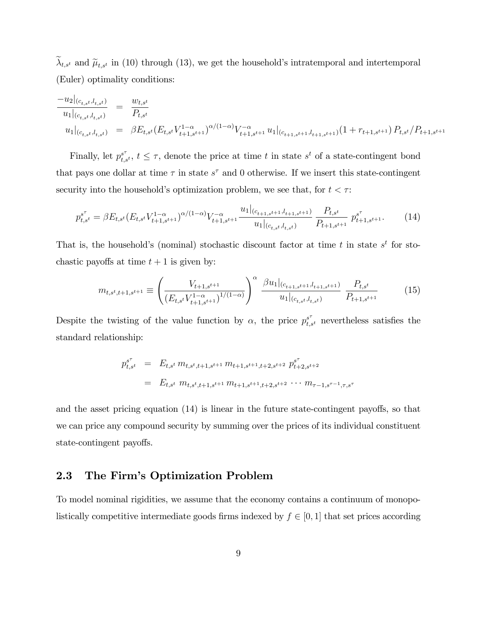$\lambda_{t,s}$  and  $\tilde{\mu}_{t,s}$  in (10) through (13), we get the household's intratemporal and intertemporal (Euler) optimality conditions:

$$
\frac{-u_2|_{(c_{t,s^t},l_{t,s^t})}}{u_1|_{(c_{t,s^t},l_{t,s^t})}} = \frac{w_{t,s^t}}{P_{t,s^t}}
$$
\n
$$
u_1|_{(c_{t,s^t},l_{t,s^t})} = \beta E_{t,s^t} (E_{t,s^t} V_{t+1,s^{t+1}}^{1-\alpha})^{\alpha/(1-\alpha)} V_{t+1,s^{t+1}}^{-\alpha} u_1|_{(c_{t+1,s^{t+1}},l_{t+1,s^{t+1}})} (1 + r_{t+1,s^{t+1}}) P_{t,s^t} / P_{t+1,s^{t+1}}
$$

Finally, let  $p_{t,s^t}^{s^{\tau}}, t \leq \tau$ , denote the price at time t in state s<sup>t</sup> of a state-contingent bond that pays one dollar at time  $\tau$  in state  $s^{\tau}$  and 0 otherwise. If we insert this state-contingent security into the household's optimization problem, we see that, for  $t < \tau$ :

$$
p_{t,s^t}^{s^{\tau}} = \beta E_{t,s^t} (E_{t,s^t} V_{t+1,s^{t+1}}^{1-\alpha})^{\alpha/(1-\alpha)} V_{t+1,s^{t+1}}^{-\alpha} \frac{u_1|_{(c_{t+1,s^{t+1}},l_{t+1,s^{t+1}})}}{u_1|_{(c_{t,s^t},l_{t,s^t})}} \frac{P_{t,s^t}}{P_{t+1,s^{t+1}}} p_{t+1,s^{t+1}}^{s^{\tau}}.
$$
 (14)

That is, the household's (nominal) stochastic discount factor at time t in state  $s<sup>t</sup>$  for stochastic payoffs at time  $t + 1$  is given by:

$$
m_{t,s^t,t+1,s^{t+1}} \equiv \left(\frac{V_{t+1,s^{t+1}}}{\left(E_{t,s^t}V_{t+1,s^{t+1}}^{1-\alpha}\right)^{1/(1-\alpha)}}\right)^{\alpha} \frac{\beta u_1|_{(c_{t+1,s^t+1},l_{t+1,s^{t+1}})}}{u_1|_{(c_{t,s^t},l_{t,s^t})}} \frac{P_{t,s^t}}{P_{t+1,s^{t+1}}} \tag{15}
$$

Despite the twisting of the value function by  $\alpha$ , the price  $p_{t,s}^{s^{\tau}}$  nevertheless satisfies the standard relationship:

$$
p_{t,s}^{s^{\tau}} = E_{t,s^t} m_{t,s^t,t+1,s^{t+1}} m_{t+1,s^{t+1},t+2,s^{t+2}} p_{t+2,s^{t+2}}^{s^{\tau}} = E_{t,s^t} m_{t,s^t,t+1,s^{t+1}} m_{t+1,s^{t+1},t+2,s^{t+2}} \cdots m_{\tau-1,s^{\tau-1},\tau,s^{\tau}}
$$

and the asset pricing equation  $(14)$  is linear in the future state-contingent payoffs, so that we can price any compound security by summing over the prices of its individual constituent state-contingent payoffs.

### 2.3 The Firmís Optimization Problem

To model nominal rigidities, we assume that the economy contains a continuum of monopolistically competitive intermediate goods firms indexed by  $f \in [0, 1]$  that set prices according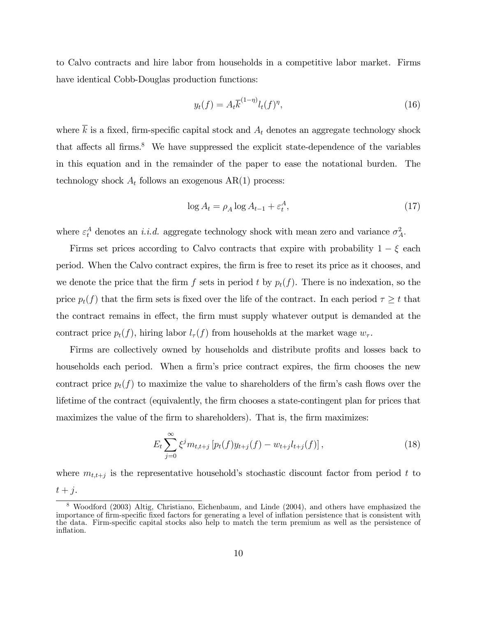to Calvo contracts and hire labor from households in a competitive labor market. Firms have identical Cobb-Douglas production functions:

$$
y_t(f) = A_t \overline{k}^{(1-\eta)} l_t(f)^\eta,\tag{16}
$$

where  $\overline{k}$  is a fixed, firm-specific capital stock and  $A_t$  denotes an aggregate technology shock that affects all firms. $8$  We have suppressed the explicit state-dependence of the variables in this equation and in the remainder of the paper to ease the notational burden. The technology shock  $A_t$  follows an exogenous  $AR(1)$  process:

$$
\log A_t = \rho_A \log A_{t-1} + \varepsilon_t^A,\tag{17}
$$

where  $\varepsilon_t^A$  denotes an *i.i.d.* aggregate technology shock with mean zero and variance  $\sigma_A^2$ .

Firms set prices according to Calvo contracts that expire with probability  $1 - \xi$  each period. When the Calvo contract expires, the Örm is free to reset its price as it chooses, and we denote the price that the firm f sets in period t by  $p_t(f)$ . There is no indexation, so the price  $p_t(f)$  that the firm sets is fixed over the life of the contract. In each period  $\tau \geq t$  that the contract remains in effect, the firm must supply whatever output is demanded at the contract price  $p_t(f)$ , hiring labor  $l_{\tau}(f)$  from households at the market wage  $w_{\tau}$ .

Firms are collectively owned by households and distribute profits and losses back to households each period. When a firm's price contract expires, the firm chooses the new contract price  $p_t(f)$  to maximize the value to shareholders of the firm's cash flows over the lifetime of the contract (equivalently, the firm chooses a state-contingent plan for prices that maximizes the value of the firm to shareholders). That is, the firm maximizes:

$$
E_t \sum_{j=0}^{\infty} \xi^j m_{t,t+j} \left[ p_t(f) y_{t+j}(f) - w_{t+j} l_{t+j}(f) \right],
$$
\n(18)

where  $m_{t,t+j}$  is the representative household's stochastic discount factor from period t to  $t+j.$ 

<sup>8</sup> Woodford (2003) Altig, Christiano, Eichenbaum, and Linde (2004), and others have emphasized the importance of firm-specific fixed factors for generating a level of inflation persistence that is consistent with the data. Firm-specific capital stocks also help to match the term premium as well as the persistence of inflation.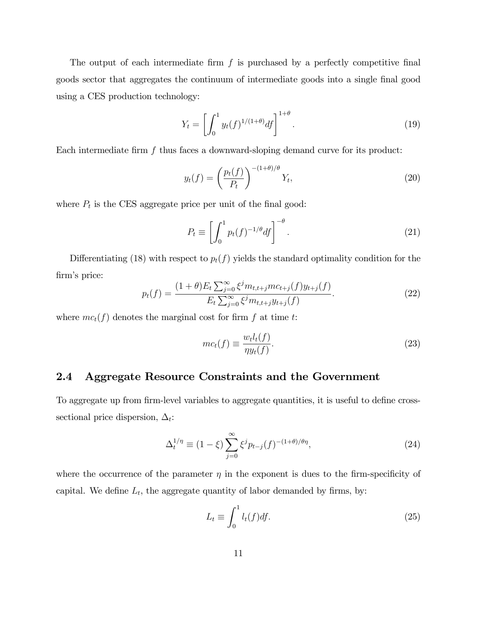The output of each intermediate firm  $f$  is purchased by a perfectly competitive final goods sector that aggregates the continuum of intermediate goods into a single Önal good using a CES production technology:

$$
Y_t = \left[ \int_0^1 y_t(f)^{1/(1+\theta)} df \right]^{1+\theta}.
$$
\n(19)

Each intermediate firm  $f$  thus faces a downward-sloping demand curve for its product:

$$
y_t(f) = \left(\frac{p_t(f)}{P_t}\right)^{-(1+\theta)/\theta} Y_t,
$$
\n(20)

where  $P_t$  is the CES aggregate price per unit of the final good:

$$
P_t \equiv \left[ \int_0^1 p_t(f)^{-1/\theta} df \right]^{-\theta}.
$$
\n(21)

Differentiating (18) with respect to  $p_t(f)$  yields the standard optimality condition for the firm's price:

$$
p_t(f) = \frac{(1+\theta)E_t \sum_{j=0}^{\infty} \xi^j m_{t,t+j}mc_{t+j}(f)y_{t+j}(f)}{E_t \sum_{j=0}^{\infty} \xi^j m_{t,t+j}y_{t+j}(f)}.
$$
(22)

where  $mc_t(f)$  denotes the marginal cost for firm f at time t:

$$
mc_t(f) \equiv \frac{w_t l_t(f)}{\eta y_t(f)}.\tag{23}
$$

### 2.4 Aggregate Resource Constraints and the Government

To aggregate up from firm-level variables to aggregate quantities, it is useful to define crosssectional price dispersion,  $\Delta_t$ :

$$
\Delta_t^{1/\eta} \equiv (1 - \xi) \sum_{j=0}^{\infty} \xi^j p_{t-j}(f)^{-(1+\theta)/\theta \eta}, \qquad (24)
$$

where the occurrence of the parameter  $\eta$  in the exponent is dues to the firm-specificity of capital. We define  $L_t$ , the aggregate quantity of labor demanded by firms, by:

$$
L_t \equiv \int_0^1 l_t(f) df. \tag{25}
$$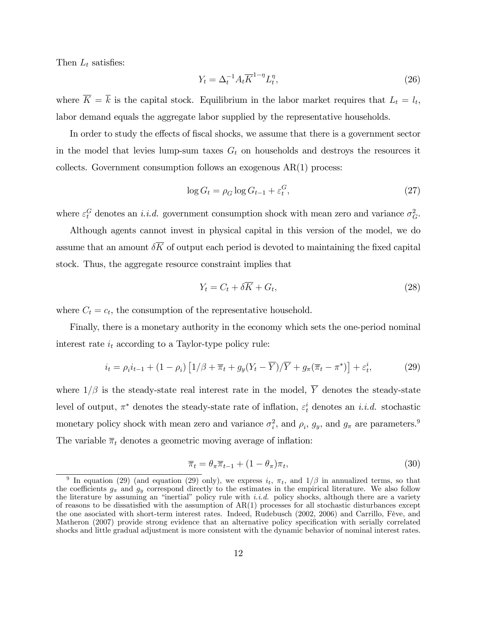Then  $L_t$  satisfies:

$$
Y_t = \Delta_t^{-1} A_t \overline{K}^{1-\eta} L_t^{\eta},\tag{26}
$$

where  $K = k$  is the capital stock. Equilibrium in the labor market requires that  $L_t = l_t$ , labor demand equals the aggregate labor supplied by the representative households.

In order to study the effects of fiscal shocks, we assume that there is a government sector in the model that levies lump-sum taxes  $G_t$  on households and destroys the resources it collects. Government consumption follows an exogenous  $AR(1)$  process:

$$
\log G_t = \rho_G \log G_{t-1} + \varepsilon_t^G,\tag{27}
$$

where  $\varepsilon_t^G$  denotes an *i.i.d.* government consumption shock with mean zero and variance  $\sigma_G^2$ .

Although agents cannot invest in physical capital in this version of the model, we do assume that an amount  $\delta \overline{K}$  of output each period is devoted to maintaining the fixed capital stock. Thus, the aggregate resource constraint implies that

$$
Y_t = C_t + \delta \overline{K} + G_t,\tag{28}
$$

where  $C_t = c_t$ , the consumption of the representative household.

Finally, there is a monetary authority in the economy which sets the one-period nominal interest rate  $i_t$  according to a Taylor-type policy rule:

$$
i_t = \rho_i i_{t-1} + (1 - \rho_i) \left[ 1/\beta + \overline{\pi}_t + g_y (Y_t - \overline{Y})/\overline{Y} + g_\pi (\overline{\pi}_t - \pi^*) \right] + \varepsilon_t^i, \tag{29}
$$

where  $1/\beta$  is the steady-state real interest rate in the model,  $\overline{Y}$  denotes the steady-state level of output,  $\pi^*$  denotes the steady-state rate of inflation,  $\varepsilon_t^i$  denotes an *i.i.d.* stochastic monetary policy shock with mean zero and variance  $\sigma_i^2$ , and  $\rho_i$ ,  $g_y$ , and  $g_\pi$  are parameters.<sup>9</sup> The variable  $\bar{\pi}_t$  denotes a geometric moving average of inflation:

$$
\overline{\pi}_t = \theta_\pi \overline{\pi}_{t-1} + (1 - \theta_\pi) \pi_t,\tag{30}
$$

<sup>&</sup>lt;sup>9</sup> In equation (29) (and equation (29) only), we express  $i_t$ ,  $\pi_t$ , and  $1/\beta$  in annualized terms, so that the coefficients  $g_{\pi}$  and  $g_y$  correspond directly to the estimates in the empirical literature. We also follow the literature by assuming an "inertial" policy rule with *i.i.d.* policy shocks, although there are a variety of reasons to be dissatisfied with the assumption of  $AR(1)$  processes for all stochastic disturbances except the one asociated with short-term interest rates. Indeed, Rudebusch (2002, 2006) and Carrillo, Fève, and Matheron (2007) provide strong evidence that an alternative policy specification with serially correlated shocks and little gradual adjustment is more consistent with the dynamic behavior of nominal interest rates.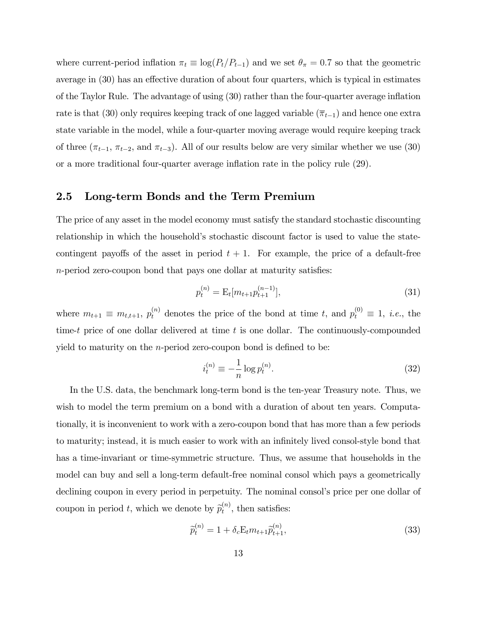where current-period inflation  $\pi_t \equiv \log(P_t/P_{t-1})$  and we set  $\theta_{\pi} = 0.7$  so that the geometric average in  $(30)$  has an effective duration of about four quarters, which is typical in estimates of the Taylor Rule. The advantage of using  $(30)$  rather than the four-quarter average inflation rate is that (30) only requires keeping track of one lagged variable  $(\overline{\pi}_{t-1})$  and hence one extra state variable in the model, while a four-quarter moving average would require keeping track of three  $(\pi_{t-1}, \pi_{t-2}, \text{ and } \pi_{t-3})$ . All of our results below are very similar whether we use (30) or a more traditional four-quarter average ináation rate in the policy rule (29).

#### 2.5 Long-term Bonds and the Term Premium

The price of any asset in the model economy must satisfy the standard stochastic discounting relationship in which the household's stochastic discount factor is used to value the statecontingent payoffs of the asset in period  $t + 1$ . For example, the price of a default-free  $n$ -period zero-coupon bond that pays one dollar at maturity satisfies:

$$
p_t^{(n)} = \mathcal{E}_t[m_{t+1}p_{t+1}^{(n-1)}],\tag{31}
$$

where  $m_{t+1} \equiv m_{t,t+1}, p_t^{(n)}$  denotes the price of the bond at time t, and  $p_t^{(0)} \equiv 1$ , *i.e.*, the time-t price of one dollar delivered at time t is one dollar. The continuously-compounded yield to maturity on the *n*-period zero-coupon bond is defined to be:

$$
i_t^{(n)} \equiv -\frac{1}{n} \log p_t^{(n)}.\tag{32}
$$

In the U.S. data, the benchmark long-term bond is the ten-year Treasury note. Thus, we wish to model the term premium on a bond with a duration of about ten years. Computationally, it is inconvenient to work with a zero-coupon bond that has more than a few periods to maturity; instead, it is much easier to work with an infinitely lived consol-style bond that has a time-invariant or time-symmetric structure. Thus, we assume that households in the model can buy and sell a long-term default-free nominal consol which pays a geometrically declining coupon in every period in perpetuity. The nominal consol's price per one dollar of coupon in period t, which we denote by  $\widetilde{p}_t^{(n)}$  $t^{(n)}$ , then satisfies:

$$
\tilde{p}_t^{(n)} = 1 + \delta_c \mathcal{E}_t m_{t+1} \tilde{p}_{t+1}^{(n)},\tag{33}
$$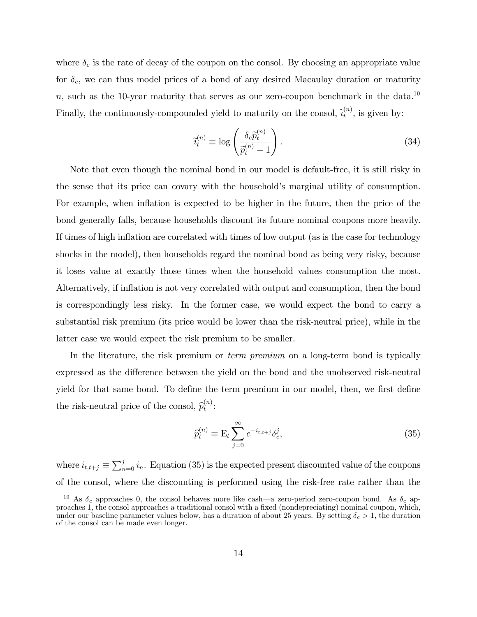where  $\delta_c$  is the rate of decay of the coupon on the consol. By choosing an appropriate value for  $\delta_c$ , we can thus model prices of a bond of any desired Macaulay duration or maturity n, such as the 10-year maturity that serves as our zero-coupon benchmark in the data.<sup>10</sup> Finally, the continuously-compounded yield to maturity on the consol,  $\tilde{i}_t^{(n)}$  $t^{(n)}$ , is given by:

$$
\widetilde{v}_t^{(n)} \equiv \log \left( \frac{\delta_c \widetilde{p}_t^{(n)}}{\widetilde{p}_t^{(n)} - 1} \right). \tag{34}
$$

Note that even though the nominal bond in our model is default-free, it is still risky in the sense that its price can covary with the household's marginal utility of consumption. For example, when inflation is expected to be higher in the future, then the price of the bond generally falls, because households discount its future nominal coupons more heavily. If times of high inflation are correlated with times of low output (as is the case for technology shocks in the model), then households regard the nominal bond as being very risky, because it loses value at exactly those times when the household values consumption the most. Alternatively, if inflation is not very correlated with output and consumption, then the bond is correspondingly less risky. In the former case, we would expect the bond to carry a substantial risk premium (its price would be lower than the risk-neutral price), while in the latter case we would expect the risk premium to be smaller.

In the literature, the risk premium or *term premium* on a long-term bond is typically expressed as the difference between the yield on the bond and the unobserved risk-neutral yield for that same bond. To define the term premium in our model, then, we first define the risk-neutral price of the consol,  $\widehat{p}_t^{(n)}$  $\binom{n}{t}$ :

$$
\widehat{p}_t^{(n)} \equiv \mathcal{E}_t \sum_{j=0}^{\infty} e^{-i_{t,t+j}} \delta_c^j,
$$
\n(35)

where  $i_{t,t+j} \equiv \sum_{n=0}^{j} i_n$ . Equation (35) is the expected present discounted value of the coupons of the consol, where the discounting is performed using the risk-free rate rather than the

<sup>&</sup>lt;sup>10</sup> As  $\delta_c$  approaches 0, the consol behaves more like cash—a zero-period zero-coupon bond. As  $\delta_c$  approaches 1, the consol approaches a traditional consol with a fixed (nondepreciating) nominal coupon, which, under our baseline parameter values below, has a duration of about 25 years. By setting  $\delta_c > 1$ , the duration of the consol can be made even longer.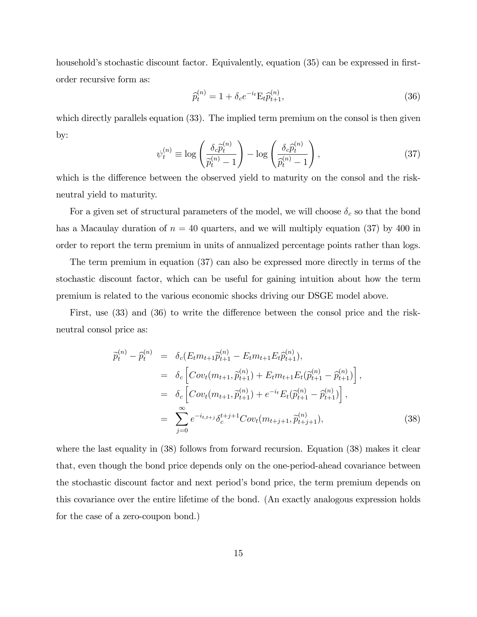household's stochastic discount factor. Equivalently, equation (35) can be expressed in firstorder recursive form as:

$$
\widehat{p}_t^{(n)} = 1 + \delta_c e^{-i_t} \mathcal{E}_t \widehat{p}_{t+1}^{(n)},\tag{36}
$$

which directly parallels equation (33). The implied term premium on the consol is then given by:

$$
\psi_t^{(n)} \equiv \log \left( \frac{\delta_c \tilde{p}_t^{(n)}}{\tilde{p}_t^{(n)} - 1} \right) - \log \left( \frac{\delta_c \tilde{p}_t^{(n)}}{\tilde{p}_t^{(n)} - 1} \right),\tag{37}
$$

which is the difference between the observed yield to maturity on the consol and the riskneutral yield to maturity.

For a given set of structural parameters of the model, we will choose  $\delta_c$  so that the bond has a Macaulay duration of  $n = 40$  quarters, and we will multiply equation (37) by 400 in order to report the term premium in units of annualized percentage points rather than logs.

The term premium in equation (37) can also be expressed more directly in terms of the stochastic discount factor, which can be useful for gaining intuition about how the term premium is related to the various economic shocks driving our DSGE model above.

First, use  $(33)$  and  $(36)$  to write the difference between the consol price and the riskneutral consol price as:

$$
\widetilde{p}_{t}^{(n)} - \widehat{p}_{t}^{(n)} = \delta_{c}(E_{t}m_{t+1}\widetilde{p}_{t+1}^{(n)} - E_{t}m_{t+1}E_{t}\widehat{p}_{t+1}^{(n)}), \n= \delta_{c}\left[Cov_{t}(m_{t+1}, \widetilde{p}_{t+1}^{(n)}) + E_{t}m_{t+1}E_{t}(\widetilde{p}_{t+1}^{(n)} - \widehat{p}_{t+1}^{(n)})\right], \n= \delta_{c}\left[Cov_{t}(m_{t+1}, \widetilde{p}_{t+1}^{(n)}) + e^{-i_{t}}E_{t}(\widetilde{p}_{t+1}^{(n)} - \widehat{p}_{t+1}^{(n)})\right], \n= \sum_{j=0}^{\infty} e^{-i_{t,t+j}}\delta_{c}^{t+j+1}Cov_{t}(m_{t+j+1}, \widetilde{p}_{t+j+1}^{(n)}),
$$
\n(38)

where the last equality in  $(38)$  follows from forward recursion. Equation  $(38)$  makes it clear that, even though the bond price depends only on the one-period-ahead covariance between the stochastic discount factor and next periodís bond price, the term premium depends on this covariance over the entire lifetime of the bond. (An exactly analogous expression holds for the case of a zero-coupon bond.)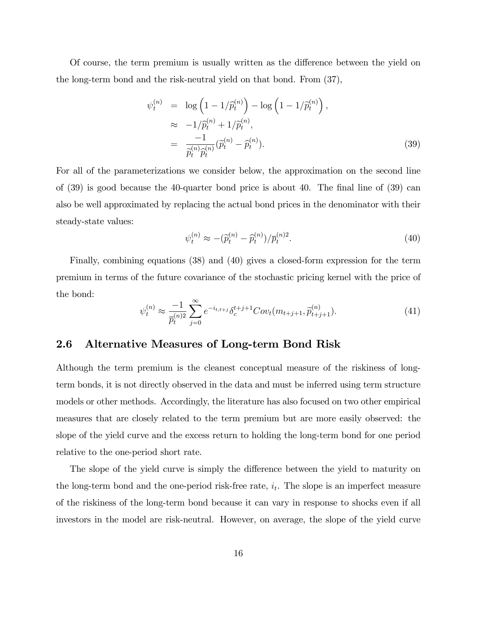Of course, the term premium is usually written as the difference between the yield on the long-term bond and the risk-neutral yield on that bond. From (37),

$$
\psi_t^{(n)} = \log\left(1 - 1/\hat{p}_t^{(n)}\right) - \log\left(1 - 1/\hat{p}_t^{(n)}\right),
$$
  
\n
$$
\approx -1/\hat{p}_t^{(n)} + 1/\hat{p}_t^{(n)},
$$
  
\n
$$
= \frac{-1}{\hat{p}_t^{(n)}\hat{p}_t^{(n)}}(\hat{p}_t^{(n)} - \hat{p}_t^{(n)}).
$$
\n(39)

For all of the parameterizations we consider below, the approximation on the second line of  $(39)$  is good because the 40-quarter bond price is about 40. The final line of  $(39)$  can also be well approximated by replacing the actual bond prices in the denominator with their steady-state values:

$$
\psi_t^{(n)} \approx -(\tilde{p}_t^{(n)} - \hat{p}_t^{(n)})/\bar{p}_t^{(n)2}.
$$
\n(40)

Finally, combining equations (38) and (40) gives a closed-form expression for the term premium in terms of the future covariance of the stochastic pricing kernel with the price of the bond:

$$
\psi_t^{(n)} \approx \frac{-1}{\bar{p}_t^{(n)2}} \sum_{j=0}^{\infty} e^{-i_{t,t+j}} \delta_c^{t+j+1} Cov_t(m_{t+j+1}, \hat{p}_{t+j+1}^{(n)}).
$$
\n(41)

### 2.6 Alternative Measures of Long-term Bond Risk

Although the term premium is the cleanest conceptual measure of the riskiness of longterm bonds, it is not directly observed in the data and must be inferred using term structure models or other methods. Accordingly, the literature has also focused on two other empirical measures that are closely related to the term premium but are more easily observed: the slope of the yield curve and the excess return to holding the long-term bond for one period relative to the one-period short rate.

The slope of the yield curve is simply the difference between the yield to maturity on the long-term bond and the one-period risk-free rate,  $i_t$ . The slope is an imperfect measure of the riskiness of the long-term bond because it can vary in response to shocks even if all investors in the model are risk-neutral. However, on average, the slope of the yield curve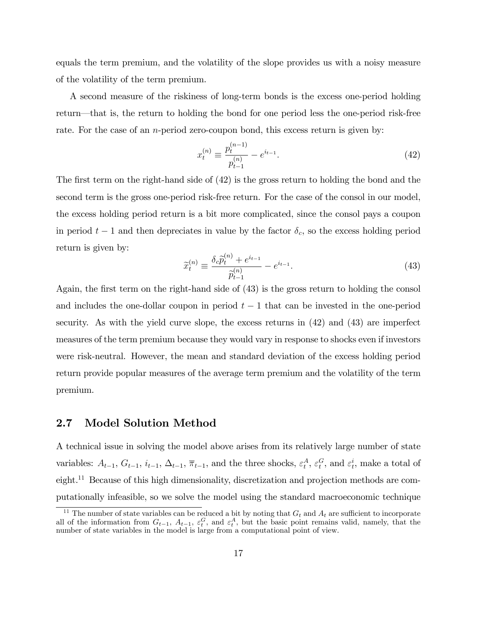equals the term premium, and the volatility of the slope provides us with a noisy measure of the volatility of the term premium.

A second measure of the riskiness of long-term bonds is the excess one-period holding return—that is, the return to holding the bond for one period less the one-period risk-free rate. For the case of an *n*-period zero-coupon bond, this excess return is given by:

$$
x_t^{(n)} \equiv \frac{p_t^{(n-1)}}{p_{t-1}^{(n)}} - e^{i_{t-1}}.\tag{42}
$$

The first term on the right-hand side of  $(42)$  is the gross return to holding the bond and the second term is the gross one-period risk-free return. For the case of the consol in our model, the excess holding period return is a bit more complicated, since the consol pays a coupon in period  $t - 1$  and then depreciates in value by the factor  $\delta_c$ , so the excess holding period return is given by:

$$
\widetilde{x}_t^{(n)} \equiv \frac{\delta_c \widetilde{p}_t^{(n)} + e^{i_{t-1}}}{\widetilde{p}_{t-1}^{(n)}} - e^{i_{t-1}}.
$$
\n(43)

Again, the first term on the right-hand side of  $(43)$  is the gross return to holding the consol and includes the one-dollar coupon in period  $t-1$  that can be invested in the one-period security. As with the yield curve slope, the excess returns in (42) and (43) are imperfect measures of the term premium because they would vary in response to shocks even if investors were risk-neutral. However, the mean and standard deviation of the excess holding period return provide popular measures of the average term premium and the volatility of the term premium.

### 2.7 Model Solution Method

A technical issue in solving the model above arises from its relatively large number of state variables:  $A_{t-1}$ ,  $G_{t-1}$ ,  $i_{t-1}$ ,  $\overline{\pi}_{t-1}$ , and the three shocks,  $\varepsilon_t^A$ ,  $\varepsilon_t^G$ , and  $\varepsilon_t^i$ , make a total of eight.<sup>11</sup> Because of this high dimensionality, discretization and projection methods are computationally infeasible, so we solve the model using the standard macroeconomic technique

<sup>&</sup>lt;sup>11</sup> The number of state variables can be reduced a bit by noting that  $G_t$  and  $A_t$  are sufficient to incorporate all of the information from  $G_{t-1}$ ,  $A_{t-1}$ ,  $\varepsilon_t^G$ , and  $\varepsilon_t^A$ , but the basic point remains valid, namely, that the number of state variables in the model is large from a computational point of view.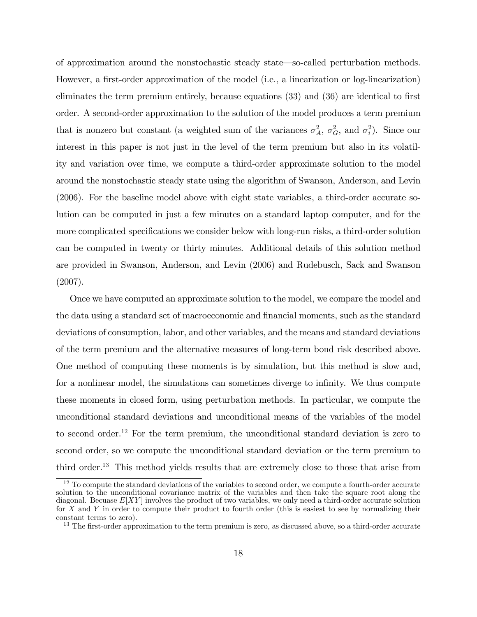of approximation around the nonstochastic steady state—so-called perturbation methods. However, a first-order approximation of the model (i.e., a linearization or log-linearization) eliminates the term premium entirely, because equations  $(33)$  and  $(36)$  are identical to first order. A second-order approximation to the solution of the model produces a term premium that is nonzero but constant (a weighted sum of the variances  $\sigma_A^2$ ,  $\sigma_G^2$ , and  $\sigma_i^2$ ). Since our interest in this paper is not just in the level of the term premium but also in its volatility and variation over time, we compute a third-order approximate solution to the model around the nonstochastic steady state using the algorithm of Swanson, Anderson, and Levin (2006). For the baseline model above with eight state variables, a third-order accurate solution can be computed in just a few minutes on a standard laptop computer, and for the more complicated specifications we consider below with long-run risks, a third-order solution can be computed in twenty or thirty minutes. Additional details of this solution method are provided in Swanson, Anderson, and Levin (2006) and Rudebusch, Sack and Swanson (2007).

Once we have computed an approximate solution to the model, we compare the model and the data using a standard set of macroeconomic and financial moments, such as the standard deviations of consumption, labor, and other variables, and the means and standard deviations of the term premium and the alternative measures of long-term bond risk described above. One method of computing these moments is by simulation, but this method is slow and, for a nonlinear model, the simulations can sometimes diverge to infinity. We thus compute these moments in closed form, using perturbation methods. In particular, we compute the unconditional standard deviations and unconditional means of the variables of the model to second order.<sup>12</sup> For the term premium, the unconditional standard deviation is zero to second order, so we compute the unconditional standard deviation or the term premium to third order.<sup>13</sup> This method yields results that are extremely close to those that arise from

 $12$  To compute the standard deviations of the variables to second order, we compute a fourth-order accurate solution to the unconditional covariance matrix of the variables and then take the square root along the diagonal. Becuase  $E[XY]$  involves the product of two variables, we only need a third-order accurate solution for X and Y in order to compute their product to fourth order (this is easiest to see by normalizing their constant terms to zero).

<sup>&</sup>lt;sup>13</sup> The first-order approximation to the term premium is zero, as discussed above, so a third-order accurate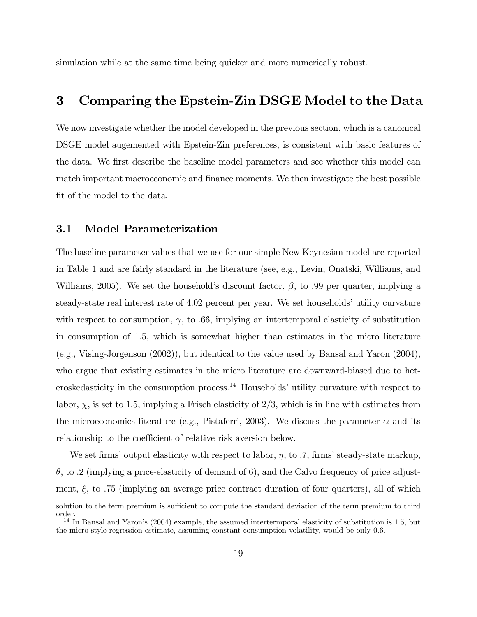simulation while at the same time being quicker and more numerically robust.

### 3 Comparing the Epstein-Zin DSGE Model to the Data

We now investigate whether the model developed in the previous section, which is a canonical DSGE model augemented with Epstein-Zin preferences, is consistent with basic features of the data. We first describe the baseline model parameters and see whether this model can match important macroeconomic and finance moments. We then investigate the best possible fit of the model to the data.

#### 3.1 Model Parameterization

The baseline parameter values that we use for our simple New Keynesian model are reported in Table 1 and are fairly standard in the literature (see, e.g., Levin, Onatski, Williams, and Williams, 2005). We set the household's discount factor,  $\beta$ , to .99 per quarter, implying a steady-state real interest rate of 4.02 percent per year. We set households' utility curvature with respect to consumption,  $\gamma$ , to .66, implying an intertemporal elasticity of substitution in consumption of 1.5, which is somewhat higher than estimates in the micro literature (e.g., Vising-Jorgenson (2002)), but identical to the value used by Bansal and Yaron (2004), who argue that existing estimates in the micro literature are downward-biased due to heteroskedasticity in the consumption process.<sup>14</sup> Households' utility curvature with respect to labor,  $\chi$ , is set to 1.5, implying a Frisch elasticity of 2/3, which is in line with estimates from the microeconomics literature (e.g., Pistaferri, 2003). We discuss the parameter  $\alpha$  and its relationship to the coefficient of relative risk aversion below.

We set firms' output elasticity with respect to labor,  $\eta$ , to .7, firms' steady-state markup,  $\theta$ , to .2 (implying a price-elasticity of demand of 6), and the Calvo frequency of price adjustment,  $\xi$ , to .75 (implying an average price contract duration of four quarters), all of which

solution to the term premium is sufficient to compute the standard deviation of the term premium to third order.

 $14$  In Bansal and Yaron's (2004) example, the assumed intertermporal elasticity of substitution is 1.5, but the micro-style regression estimate, assuming constant consumption volatility, would be only 0.6.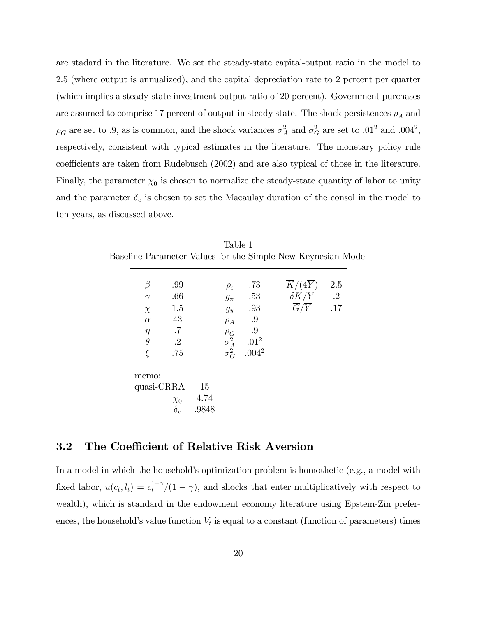are stadard in the literature. We set the steady-state capital-output ratio in the model to 2.5 (where output is annualized), and the capital depreciation rate to 2 percent per quarter (which implies a steady-state investment-output ratio of 20 percent). Government purchases are assumed to comprise 17 percent of output in steady state. The shock persistences  $\rho_A$  and  $\rho_G$  are set to .9, as is common, and the shock variances  $\sigma_A^2$  and  $\sigma_G^2$  are set to .01<sup>2</sup> and .004<sup>2</sup>, respectively, consistent with typical estimates in the literature. The monetary policy rule coefficients are taken from Rudebusch (2002) and are also typical of those in the literature. Finally, the parameter  $\chi_0$  is chosen to normalize the steady-state quantity of labor to unity and the parameter  $\delta_c$  is chosen to set the Macaulay duration of the consol in the model to ten years, as discussed above.

| .66                                   |          | .73<br>$\rho_i$                                                                                          | $K/(4\overline{Y})$                  | 2.5 |
|---------------------------------------|----------|----------------------------------------------------------------------------------------------------------|--------------------------------------|-----|
| $\gamma$                              |          | $g_{\pi}$ .53                                                                                            | $\delta \overline K / \overline Y$ 2 |     |
| 1.5<br>$\chi$                         |          | $g_y$ .93                                                                                                | $\overline{G}/\overline{Y}$          | .17 |
| 43<br>$\alpha$                        | $\rho_A$ | $\cdot .9$                                                                                               |                                      |     |
| $\overline{\phantom{a}}$ .7<br>$\eta$ |          |                                                                                                          |                                      |     |
| $\cdot$ .2<br>$\theta$                |          |                                                                                                          |                                      |     |
| $\xi$<br>.75                          |          | $\begin{array}{ccc} \rho_G & .9 \\ \sigma_A^2 & .01^2 \\ \sigma_G^2 & .004^2 \\ \end{array}$<br>$.004^2$ |                                      |     |
| memo:                                 |          |                                                                                                          |                                      |     |
| quasi-CRRA                            | - 15     |                                                                                                          |                                      |     |

Table 1

### 3.2 The Coefficient of Relative Risk Aversion

In a model in which the household's optimization problem is homothetic (e.g., a model with fixed labor,  $u(c_t, l_t) = c_t^{1-\gamma}/(1-\gamma)$ , and shocks that enter multiplicatively with respect to wealth), which is standard in the endowment economy literature using Epstein-Zin preferences, the household's value function  $V_t$  is equal to a constant (function of parameters) times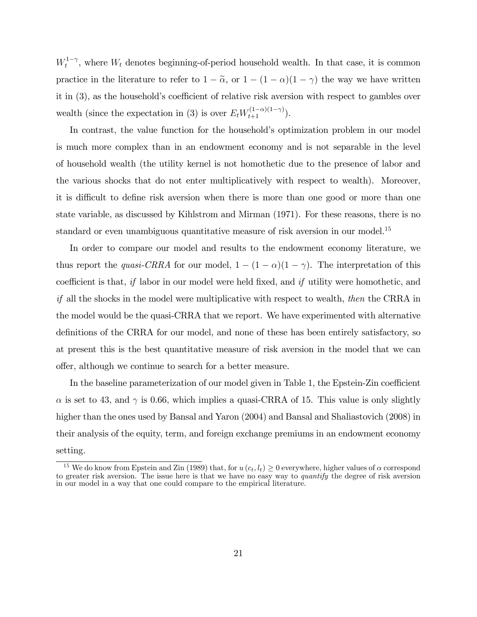$W_t^{1-\gamma}$ , where  $W_t$  denotes beginning-of-period household wealth. In that case, it is common practice in the literature to refer to  $1 - \tilde{\alpha}$ , or  $1 - (1 - \alpha)(1 - \gamma)$  the way we have written it in  $(3)$ , as the household's coefficient of relative risk aversion with respect to gambles over wealth (since the expectation in (3) is over  $E_t W_{t+1}^{(1-\alpha)(1-\gamma)}$ ).

In contrast, the value function for the household's optimization problem in our model is much more complex than in an endowment economy and is not separable in the level of household wealth (the utility kernel is not homothetic due to the presence of labor and the various shocks that do not enter multiplicatively with respect to wealth). Moreover, it is difficult to define risk aversion when there is more than one good or more than one state variable, as discussed by Kihlstrom and Mirman (1971). For these reasons, there is no standard or even unambiguous quantitative measure of risk aversion in our model.<sup>15</sup>

In order to compare our model and results to the endowment economy literature, we thus report the *quasi-CRRA* for our model,  $1 - (1 - \alpha)(1 - \gamma)$ . The interpretation of this coefficient is that, if labor in our model were held fixed, and if utility were homothetic, and if all the shocks in the model were multiplicative with respect to wealth, then the CRRA in the model would be the quasi-CRRA that we report. We have experimented with alternative definitions of the CRRA for our model, and none of these has been entirely satisfactory, so at present this is the best quantitative measure of risk aversion in the model that we can offer, although we continue to search for a better measure.

In the baseline parameterization of our model given in Table 1, the Epstein-Zin coefficient  $\alpha$  is set to 43, and  $\gamma$  is 0.66, which implies a quasi-CRRA of 15. This value is only slightly higher than the ones used by Bansal and Yaron (2004) and Bansal and Shaliastovich (2008) in their analysis of the equity, term, and foreign exchange premiums in an endowment economy setting.

<sup>&</sup>lt;sup>15</sup> We do know from Epstein and Zin (1989) that, for  $u(c_t, l_t) \geq 0$  everywhere, higher values of  $\alpha$  correspond to greater risk aversion. The issue here is that we have no easy way to *quantify* the degree of risk aversion in our model in a way that one could compare to the empirical literature.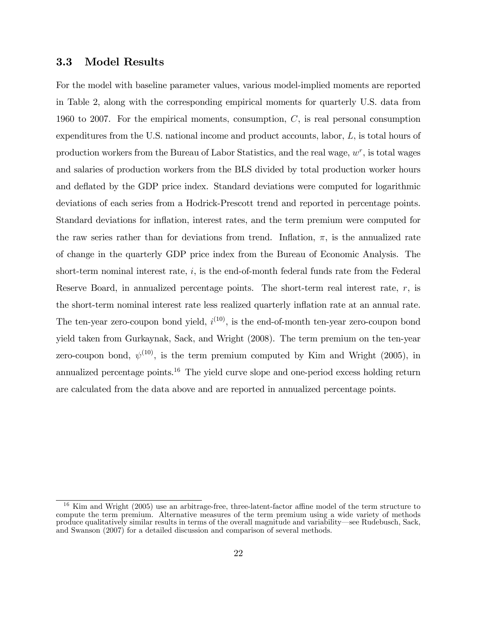#### 3.3 Model Results

For the model with baseline parameter values, various model-implied moments are reported in Table 2, along with the corresponding empirical moments for quarterly U.S. data from 1960 to 2007. For the empirical moments, consumption,  $C$ , is real personal consumption expenditures from the U.S. national income and product accounts, labor, L, is total hours of production workers from the Bureau of Labor Statistics, and the real wage,  $w^r$ , is total wages and salaries of production workers from the BLS divided by total production worker hours and deflated by the GDP price index. Standard deviations were computed for logarithmic deviations of each series from a Hodrick-Prescott trend and reported in percentage points. Standard deviations for inflation, interest rates, and the term premium were computed for the raw series rather than for deviations from trend. Inflation,  $\pi$ , is the annualized rate of change in the quarterly GDP price index from the Bureau of Economic Analysis. The short-term nominal interest rate,  $i$ , is the end-of-month federal funds rate from the Federal Reserve Board, in annualized percentage points. The short-term real interest rate,  $r$ , is the short-term nominal interest rate less realized quarterly inflation rate at an annual rate. The ten-year zero-coupon bond yield,  $i^{(10)}$ , is the end-of-month ten-year zero-coupon bond yield taken from Gurkaynak, Sack, and Wright (2008). The term premium on the ten-year zero-coupon bond,  $\psi^{(10)}$ , is the term premium computed by Kim and Wright (2005), in annualized percentage points.<sup>16</sup> The yield curve slope and one-period excess holding return are calculated from the data above and are reported in annualized percentage points.

Kim and Wright (2005) use an arbitrage-free, three-latent-factor affine model of the term structure to compute the term premium. Alternative measures of the term premium using a wide variety of methods produce qualitatively similar results in terms of the overall magnitude and variability—see Rudebusch, Sack, and Swanson (2007) for a detailed discussion and comparison of several methods.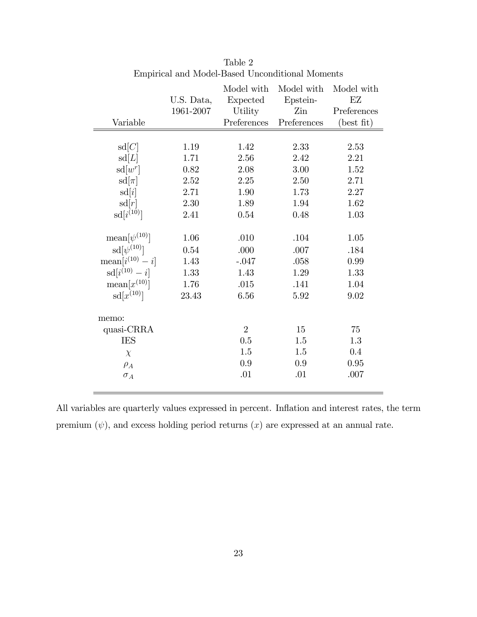|                             |            | Model with     | Model with  | Model with                  |
|-----------------------------|------------|----------------|-------------|-----------------------------|
|                             | U.S. Data, | Expected       | Epstein-    | $\mathop{\rm EZ}$           |
|                             | 1961-2007  | Utility        | Zin         | Preferences                 |
| Variable                    |            | Preferences    | Preferences | $(\text{best} \text{ fit})$ |
|                             |            |                |             |                             |
| sd[C]                       | 1.19       | 1.42           | 2.33        | 2.53                        |
| sd[L]                       | 1.71       | 2.56           | 2.42        | 2.21                        |
| $sd[w^r]$                   | $0.82\,$   | 2.08           | 3.00        | 1.52                        |
| $sd[\pi]$                   | 2.52       | 2.25           | 2.50        | 2.71                        |
| sd[i]                       | 2.71       | 1.90           | 1.73        | 2.27                        |
| sd[r]                       | 2.30       | 1.89           | 1.94        | 1.62                        |
| $sd[i^{(10)}]$              | 2.41       | 0.54           | 0.48        | 1.03                        |
|                             |            |                |             |                             |
| $\text{mean}[\psi^{(10)}]$  | 1.06       | .010           | $.104\,$    | 1.05                        |
| $sd[\psi^{(10)}]$           | 0.54       | .000           | .007        | .184                        |
| $\text{mean}[i^{(10)} - i]$ | 1.43       | $-.047$        | .058        | 0.99                        |
| $sd[i^{(10)} - i]$          | 1.33       | 1.43           | 1.29        | 1.33                        |
| $\text{mean}[x^{(10)}]$     | 1.76       | .015           | .141        | 1.04                        |
| $sd[x^{(10)}]$              | 23.43      | 6.56           | 5.92        | 9.02                        |
|                             |            |                |             |                             |
| memo:<br>quasi-CRRA         |            | $\overline{2}$ | 15          | 75                          |
| <b>IES</b>                  |            | 0.5            | 1.5         | 1.3                         |
|                             |            | 1.5            | 1.5         | 0.4                         |
| $\chi$                      |            | $0.9\,$        | 0.9         |                             |
| $\rho_A$                    |            |                |             | 0.95                        |
| $\sigma_A$                  |            | .01            | .01         | .007                        |
|                             |            |                |             |                             |

Table 2 Empirical and Model-Based Unconditional Moments

All variables are quarterly values expressed in percent. Inflation and interest rates, the term premium  $(\psi)$ , and excess holding period returns  $(x)$  are expressed at an annual rate.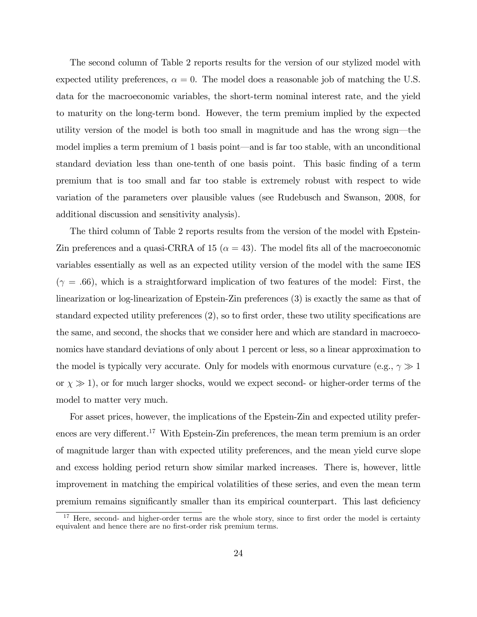The second column of Table 2 reports results for the version of our stylized model with expected utility preferences,  $\alpha = 0$ . The model does a reasonable job of matching the U.S. data for the macroeconomic variables, the short-term nominal interest rate, and the yield to maturity on the long-term bond. However, the term premium implied by the expected utility version of the model is both too small in magnitude and has the wrong sign—the model implies a term premium of 1 basis point—and is far too stable, with an unconditional standard deviation less than one-tenth of one basis point. This basic finding of a term premium that is too small and far too stable is extremely robust with respect to wide variation of the parameters over plausible values (see Rudebusch and Swanson, 2008, for additional discussion and sensitivity analysis).

The third column of Table 2 reports results from the version of the model with Epstein-Zin preferences and a quasi-CRRA of 15 ( $\alpha = 43$ ). The model fits all of the macroeconomic variables essentially as well as an expected utility version of the model with the same IES  $(\gamma = .66)$ , which is a straightforward implication of two features of the model: First, the linearization or log-linearization of Epstein-Zin preferences (3) is exactly the same as that of standard expected utility preferences  $(2)$ , so to first order, these two utility specifications are the same, and second, the shocks that we consider here and which are standard in macroeconomics have standard deviations of only about 1 percent or less, so a linear approximation to the model is typically very accurate. Only for models with enormous curvature (e.g.,  $\gamma \gg 1$ or  $\chi \gg 1$ ), or for much larger shocks, would we expect second- or higher-order terms of the model to matter very much.

For asset prices, however, the implications of the Epstein-Zin and expected utility preferences are very different.<sup>17</sup> With Epstein-Zin preferences, the mean term premium is an order of magnitude larger than with expected utility preferences, and the mean yield curve slope and excess holding period return show similar marked increases. There is, however, little improvement in matching the empirical volatilities of these series, and even the mean term premium remains significantly smaller than its empirical counterpart. This last deficiency

 $17$  Here, second- and higher-order terms are the whole story, since to first order the model is certainty equivalent and hence there are no first-order risk premium terms.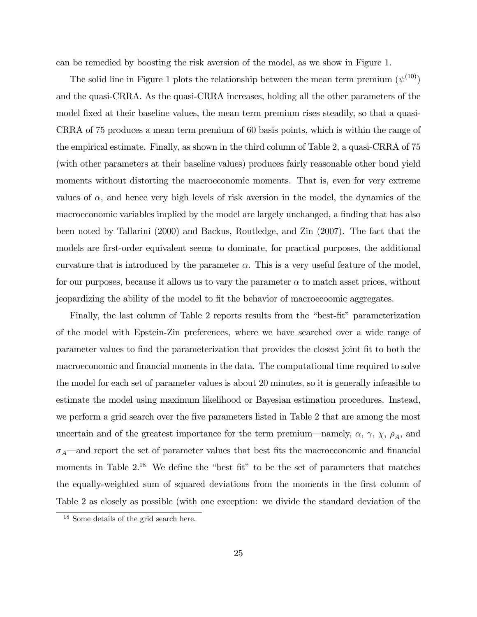can be remedied by boosting the risk aversion of the model, as we show in Figure 1.

The solid line in Figure 1 plots the relationship between the mean term premium  $(\psi^{(10)})$ and the quasi-CRRA. As the quasi-CRRA increases, holding all the other parameters of the model fixed at their baseline values, the mean term premium rises steadily, so that a quasi-CRRA of 75 produces a mean term premium of 60 basis points, which is within the range of the empirical estimate. Finally, as shown in the third column of Table 2, a quasi-CRRA of 75 (with other parameters at their baseline values) produces fairly reasonable other bond yield moments without distorting the macroeconomic moments. That is, even for very extreme values of  $\alpha$ , and hence very high levels of risk aversion in the model, the dynamics of the macroeconomic variables implied by the model are largely unchanged, a finding that has also been noted by Tallarini (2000) and Backus, Routledge, and Zin (2007). The fact that the models are first-order equivalent seems to dominate, for practical purposes, the additional curvature that is introduced by the parameter  $\alpha$ . This is a very useful feature of the model, for our purposes, because it allows us to vary the parameter  $\alpha$  to match asset prices, without jeopardizing the ability of the model to fit the behavior of macroecoomic aggregates.

Finally, the last column of Table 2 reports results from the "best-fit" parameterization of the model with Epstein-Zin preferences, where we have searched over a wide range of parameter values to find the parameterization that provides the closest joint fit to both the macroeconomic and financial moments in the data. The computational time required to solve the model for each set of parameter values is about 20 minutes, so it is generally infeasible to estimate the model using maximum likelihood or Bayesian estimation procedures. Instead, we perform a grid search over the five parameters listed in Table 2 that are among the most uncertain and of the greatest importance for the term premium—namely,  $\alpha$ ,  $\gamma$ ,  $\chi$ ,  $\rho_A$ , and  $\sigma_A$  and report the set of parameter values that best fits the macroeconomic and financial moments in Table  $2^{18}$ . We define the "best fit" to be the set of parameters that matches the equally-weighted sum of squared deviations from the moments in the first column of Table 2 as closely as possible (with one exception: we divide the standard deviation of the

<sup>18</sup> Some details of the grid search here.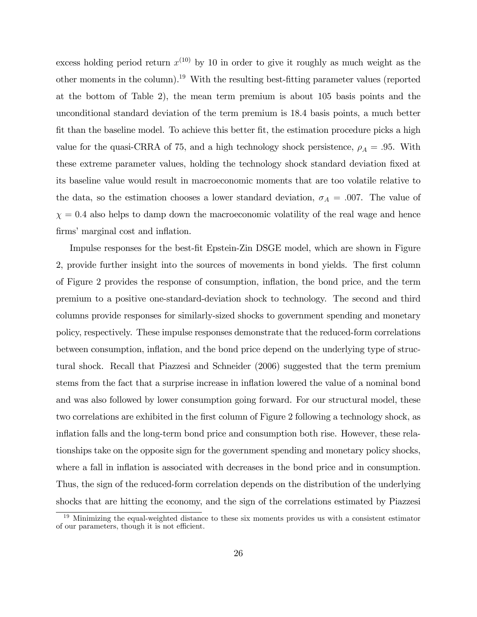excess holding period return  $x^{(10)}$  by 10 in order to give it roughly as much weight as the other moments in the column).<sup>19</sup> With the resulting best-fitting parameter values (reported at the bottom of Table 2), the mean term premium is about 105 basis points and the unconditional standard deviation of the term premium is 18.4 basis points, a much better fit than the baseline model. To achieve this better fit, the estimation procedure picks a high value for the quasi-CRRA of 75, and a high technology shock persistence,  $\rho_A = .95$ . With these extreme parameter values, holding the technology shock standard deviation fixed at its baseline value would result in macroeconomic moments that are too volatile relative to the data, so the estimation chooses a lower standard deviation,  $\sigma_A = .007$ . The value of  $\chi = 0.4$  also helps to damp down the macroeconomic volatility of the real wage and hence firms' marginal cost and inflation.

Impulse responses for the best-Öt Epstein-Zin DSGE model, which are shown in Figure 2, provide further insight into the sources of movements in bond yields. The first column of Figure 2 provides the response of consumption, ináation, the bond price, and the term premium to a positive one-standard-deviation shock to technology. The second and third columns provide responses for similarly-sized shocks to government spending and monetary policy, respectively. These impulse responses demonstrate that the reduced-form correlations between consumption, inflation, and the bond price depend on the underlying type of structural shock. Recall that Piazzesi and Schneider (2006) suggested that the term premium stems from the fact that a surprise increase in ináation lowered the value of a nominal bond and was also followed by lower consumption going forward. For our structural model, these two correlations are exhibited in the first column of Figure 2 following a technology shock, as inflation falls and the long-term bond price and consumption both rise. However, these relationships take on the opposite sign for the government spending and monetary policy shocks, where a fall in inflation is associated with decreases in the bond price and in consumption. Thus, the sign of the reduced-form correlation depends on the distribution of the underlying shocks that are hitting the economy, and the sign of the correlations estimated by Piazzesi

<sup>&</sup>lt;sup>19</sup> Minimizing the equal-weighted distance to these six moments provides us with a consistent estimator of our parameters, though it is not efficient.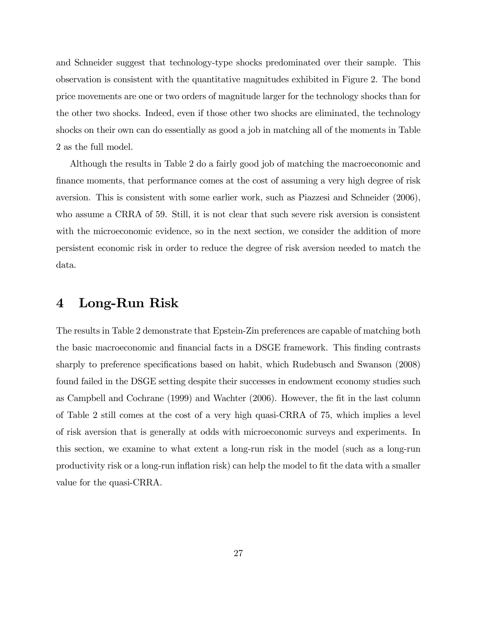and Schneider suggest that technology-type shocks predominated over their sample. This observation is consistent with the quantitative magnitudes exhibited in Figure 2. The bond price movements are one or two orders of magnitude larger for the technology shocks than for the other two shocks. Indeed, even if those other two shocks are eliminated, the technology shocks on their own can do essentially as good a job in matching all of the moments in Table 2 as the full model.

Although the results in Table 2 do a fairly good job of matching the macroeconomic and finance moments, that performance comes at the cost of assuming a very high degree of risk aversion. This is consistent with some earlier work, such as Piazzesi and Schneider (2006), who assume a CRRA of 59. Still, it is not clear that such severe risk aversion is consistent with the microeconomic evidence, so in the next section, we consider the addition of more persistent economic risk in order to reduce the degree of risk aversion needed to match the data.

### 4 Long-Run Risk

The results in Table 2 demonstrate that Epstein-Zin preferences are capable of matching both the basic macroeconomic and financial facts in a DSGE framework. This finding contrasts sharply to preference specifications based on habit, which Rudebusch and Swanson (2008) found failed in the DSGE setting despite their successes in endowment economy studies such as Campbell and Cochrane (1999) and Wachter (2006). However, the Öt in the last column of Table 2 still comes at the cost of a very high quasi-CRRA of 75, which implies a level of risk aversion that is generally at odds with microeconomic surveys and experiments. In this section, we examine to what extent a long-run risk in the model (such as a long-run productivity risk or a long-run inflation risk) can help the model to fit the data with a smaller value for the quasi-CRRA.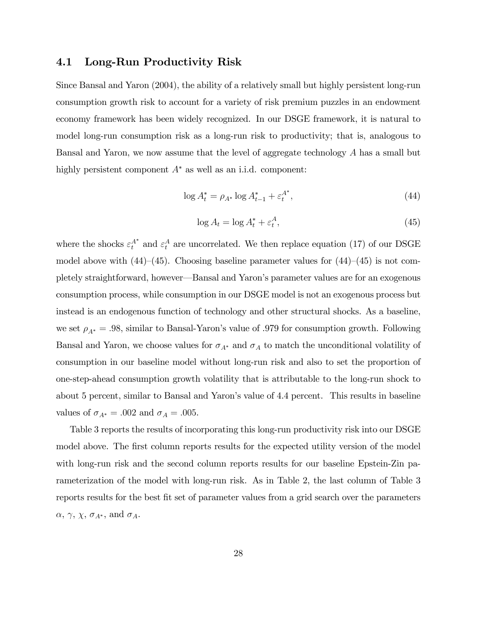### 4.1 Long-Run Productivity Risk

Since Bansal and Yaron (2004), the ability of a relatively small but highly persistent long-run consumption growth risk to account for a variety of risk premium puzzles in an endowment economy framework has been widely recognized. In our DSGE framework, it is natural to model long-run consumption risk as a long-run risk to productivity; that is, analogous to Bansal and Yaron, we now assume that the level of aggregate technology A has a small but highly persistent component  $A^*$  as well as an i.i.d. component:

$$
\log A_t^* = \rho_{A^*} \log A_{t-1}^* + \varepsilon_t^{A^*},\tag{44}
$$

$$
\log A_t = \log A_t^* + \varepsilon_t^A,\tag{45}
$$

where the shocks  $\varepsilon_t^{A^*}$  and  $\varepsilon_t^A$  are uncorrelated. We then replace equation (17) of our DSGE model above with  $(44)–(45)$ . Choosing baseline parameter values for  $(44)–(45)$  is not completely straightforward, however—Bansal and Yaron's parameter values are for an exogenous consumption process, while consumption in our DSGE model is not an exogenous process but instead is an endogenous function of technology and other structural shocks. As a baseline, we set  $\rho_{A^*} = .98$ , similar to Bansal-Yaron's value of .979 for consumption growth. Following Bansal and Yaron, we choose values for  $\sigma_{A^*}$  and  $\sigma_A$  to match the unconditional volatility of consumption in our baseline model without long-run risk and also to set the proportion of one-step-ahead consumption growth volatility that is attributable to the long-run shock to about 5 percent, similar to Bansal and Yaron's value of 4.4 percent. This results in baseline values of  $\sigma_{A^*} = .002$  and  $\sigma_A = .005$ .

Table 3 reports the results of incorporating this long-run productivity risk into our DSGE model above. The first column reports results for the expected utility version of the model with long-run risk and the second column reports results for our baseline Epstein-Zin parameterization of the model with long-run risk. As in Table 2, the last column of Table 3 reports results for the best fit set of parameter values from a grid search over the parameters  $\alpha, \gamma, \chi, \sigma_{A^*},$  and  $\sigma_A$ .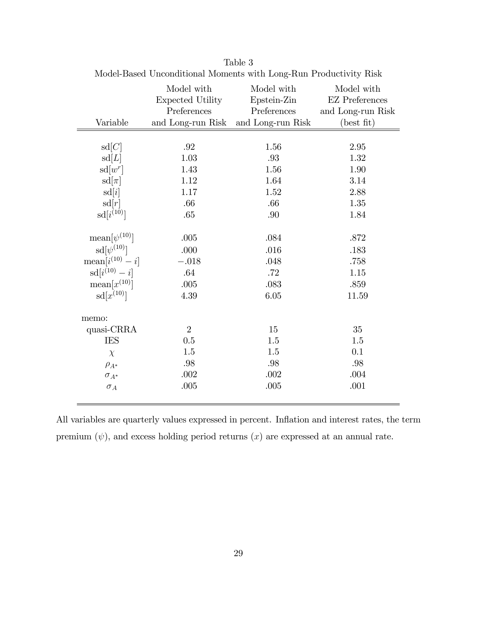|                             | Model with<br>Expected Utility<br>Preferences | Model with<br>Epstein-Zin<br>Preferences | Model with<br><b>EZ</b> Preferences<br>and Long-run Risk |
|-----------------------------|-----------------------------------------------|------------------------------------------|----------------------------------------------------------|
| Variable                    | and Long-run Risk                             | and Long-run Risk                        | $(\text{best} \text{ fit})$                              |
|                             |                                               |                                          |                                                          |
| sd[C]                       | $.92\,$                                       | 1.56                                     | 2.95                                                     |
| sd[L]                       | 1.03                                          | .93                                      | 1.32                                                     |
| $sd[w^r]$                   | 1.43                                          | 1.56                                     | 1.90                                                     |
| $sd[\pi]$                   | 1.12                                          | 1.64                                     | 3.14                                                     |
| sd[i]                       | 1.17                                          | 1.52                                     | 2.88                                                     |
| sd[r]                       | .66                                           | .66                                      | 1.35                                                     |
| $sd[i^{(10)}]$              | .65                                           | .90                                      | 1.84                                                     |
|                             |                                               |                                          |                                                          |
| $\text{mean}[\psi^{(10)}]$  | .005                                          | .084                                     | .872                                                     |
| $sd[\psi^{(10)}]$           | .000                                          | .016                                     | .183                                                     |
| $\text{mean}[i^{(10)} - i]$ | $-.018$                                       | .048                                     | .758                                                     |
| $sd[i^{(10)} - i]$          | .64                                           | $.72\,$                                  | 1.15                                                     |
| $\text{mean}[x^{(10)}]$     | $.005$                                        | .083                                     | .859                                                     |
| $sd[x^{(10)}]$              | 4.39                                          | 6.05                                     | 11.59                                                    |
| memo:                       |                                               |                                          |                                                          |
| quasi-CRRA                  | $\overline{2}$                                | 15                                       | 35                                                       |
| <b>IES</b>                  | 0.5                                           | 1.5                                      | 1.5                                                      |
| $\chi$                      | 1.5                                           | 1.5                                      | 0.1                                                      |
| $\rho_{A^*}$                | .98                                           | $.98\,$                                  | .98                                                      |
| $\sigma_{A^*}$              | .002                                          | .002                                     | .004                                                     |
| $\sigma_A$                  | .005                                          | .005                                     | .001                                                     |

Table 3 Model-Based Unconditional Moments with Long-Run Productivity Risk

All variables are quarterly values expressed in percent. Inflation and interest rates, the term premium  $(\psi)$ , and excess holding period returns  $(x)$  are expressed at an annual rate.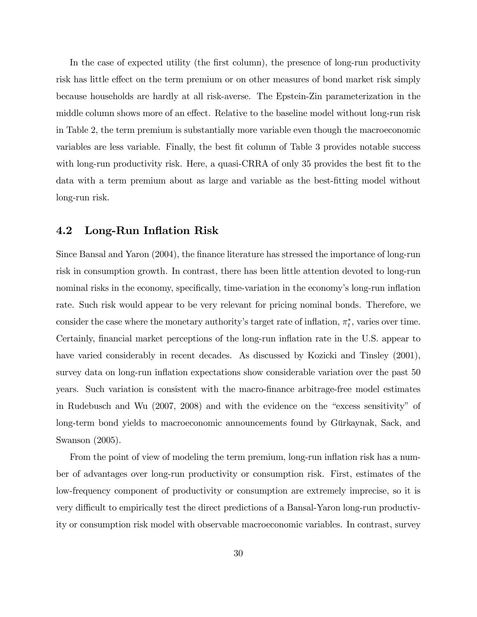In the case of expected utility (the first column), the presence of long-run productivity risk has little effect on the term premium or on other measures of bond market risk simply because households are hardly at all risk-averse. The Epstein-Zin parameterization in the middle column shows more of an effect. Relative to the baseline model without long-run risk in Table 2, the term premium is substantially more variable even though the macroeconomic variables are less variable. Finally, the best fit column of Table 3 provides notable success with long-run productivity risk. Here, a quasi-CRRA of only 35 provides the best fit to the data with a term premium about as large and variable as the best-Ötting model without long-run risk.

### 4.2 Long-Run Inflation Risk

Since Bansal and Yaron (2004), the finance literature has stressed the importance of long-run risk in consumption growth. In contrast, there has been little attention devoted to long-run nominal risks in the economy, specifically, time-variation in the economy's long-run inflation rate. Such risk would appear to be very relevant for pricing nominal bonds. Therefore, we consider the case where the monetary authority's target rate of inflation,  $\pi_t^*$ , varies over time. Certainly, financial market perceptions of the long-run inflation rate in the U.S. appear to have varied considerably in recent decades. As discussed by Kozicki and Tinsley  $(2001)$ , survey data on long-run inflation expectations show considerable variation over the past 50 years. Such variation is consistent with the macro-Önance arbitrage-free model estimates in Rudebusch and Wu  $(2007, 2008)$  and with the evidence on the "excess sensitivity" of long-term bond yields to macroeconomic announcements found by Gürkaynak, Sack, and Swanson (2005).

From the point of view of modeling the term premium, long-run inflation risk has a number of advantages over long-run productivity or consumption risk. First, estimates of the low-frequency component of productivity or consumption are extremely imprecise, so it is very difficult to empirically test the direct predictions of a Bansal-Yaron long-run productivity or consumption risk model with observable macroeconomic variables. In contrast, survey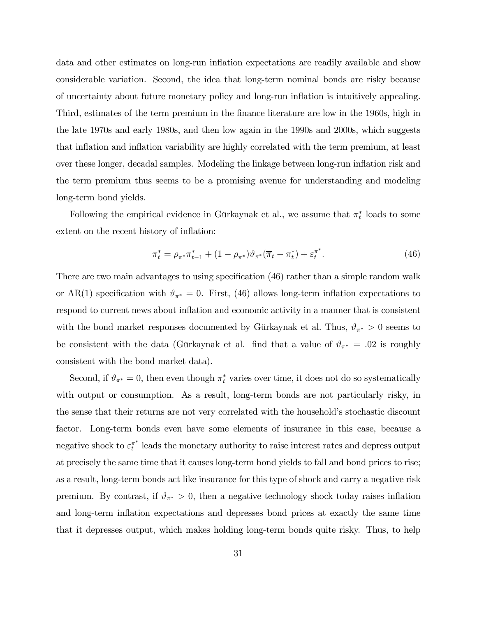data and other estimates on long-run ináation expectations are readily available and show considerable variation. Second, the idea that long-term nominal bonds are risky because of uncertainty about future monetary policy and long-run ináation is intuitively appealing. Third, estimates of the term premium in the Önance literature are low in the 1960s, high in the late 1970s and early 1980s, and then low again in the 1990s and 2000s, which suggests that inflation and inflation variability are highly correlated with the term premium, at least over these longer, decadal samples. Modeling the linkage between long-run ináation risk and the term premium thus seems to be a promising avenue for understanding and modeling long-term bond yields.

Following the empirical evidence in Gürkaynak et al., we assume that  $\pi_t^*$  loads to some extent on the recent history of inflation:

$$
\pi_t^* = \rho_{\pi^*} \pi_{t-1}^* + (1 - \rho_{\pi^*}) \vartheta_{\pi^*} (\overline{\pi}_t - \pi_t^*) + \varepsilon_t^{\pi^*}.
$$
\n(46)

There are two main advantages to using specification (46) rather than a simple random walk or AR(1) specification with  $\vartheta_{\pi^*} = 0$ . First, (46) allows long-term inflation expectations to respond to current news about inflation and economic activity in a manner that is consistent with the bond market responses documented by Gürkaynak et al. Thus,  $\vartheta_{\pi^*} > 0$  seems to be consistent with the data (Gürkaynak et al. find that a value of  $\vartheta_{\pi^*} = .02$  is roughly consistent with the bond market data).

Second, if  $\vartheta_{\pi^*} = 0$ , then even though  $\pi_t^*$  varies over time, it does not do so systematically with output or consumption. As a result, long-term bonds are not particularly risky, in the sense that their returns are not very correlated with the household's stochastic discount factor. Long-term bonds even have some elements of insurance in this case, because a negative shock to  $\varepsilon_t^{\pi^*}$  leads the monetary authority to raise interest rates and depress output at precisely the same time that it causes long-term bond yields to fall and bond prices to rise; as a result, long-term bonds act like insurance for this type of shock and carry a negative risk premium. By contrast, if  $\vartheta_{\pi^*} > 0$ , then a negative technology shock today raises inflation and long-term inflation expectations and depresses bond prices at exactly the same time that it depresses output, which makes holding long-term bonds quite risky. Thus, to help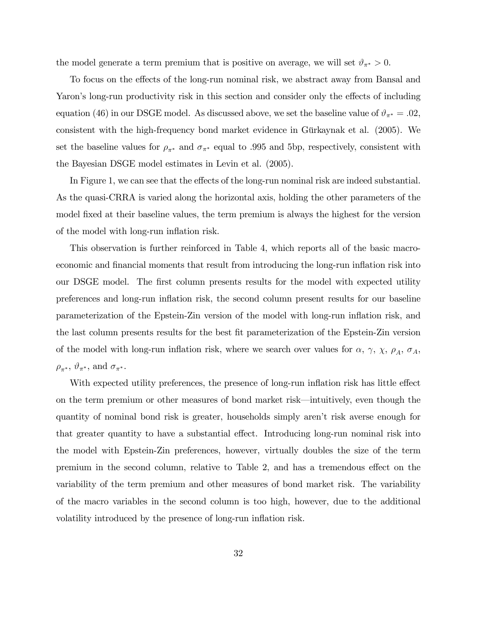the model generate a term premium that is positive on average, we will set  $\vartheta_{\pi^*} > 0$ .

To focus on the effects of the long-run nominal risk, we abstract away from Bansal and Yaron's long-run productivity risk in this section and consider only the effects of including equation (46) in our DSGE model. As discussed above, we set the baseline value of  $\vartheta_{\pi^*} = .02$ , consistent with the high-frequency bond market evidence in Gürkaynak et al. (2005). We set the baseline values for  $\rho_{\pi^*}$  and  $\sigma_{\pi^*}$  equal to .995 and 5bp, respectively, consistent with the Bayesian DSGE model estimates in Levin et al. (2005).

In Figure 1, we can see that the effects of the long-run nominal risk are indeed substantial. As the quasi-CRRA is varied along the horizontal axis, holding the other parameters of the model fixed at their baseline values, the term premium is always the highest for the version of the model with long-run inflation risk.

This observation is further reinforced in Table 4, which reports all of the basic macroeconomic and financial moments that result from introducing the long-run inflation risk into our DSGE model. The first column presents results for the model with expected utility preferences and long-run inflation risk, the second column present results for our baseline parameterization of the Epstein-Zin version of the model with long-run ináation risk, and the last column presents results for the best Öt parameterization of the Epstein-Zin version of the model with long-run inflation risk, where we search over values for  $\alpha$ ,  $\gamma$ ,  $\chi$ ,  $\rho_A$ ,  $\sigma_A$ ,  $\rho_{\pi^*}, \vartheta_{\pi^*}, \text{ and } \sigma_{\pi^*}.$ 

With expected utility preferences, the presence of long-run inflation risk has little effect on the term premium or other measures of bond market risk—intuitively, even though the quantity of nominal bond risk is greater, households simply arenít risk averse enough for that greater quantity to have a substantial effect. Introducing long-run nominal risk into the model with Epstein-Zin preferences, however, virtually doubles the size of the term premium in the second column, relative to Table 2, and has a tremendous effect on the variability of the term premium and other measures of bond market risk. The variability of the macro variables in the second column is too high, however, due to the additional volatility introduced by the presence of long-run inflation risk.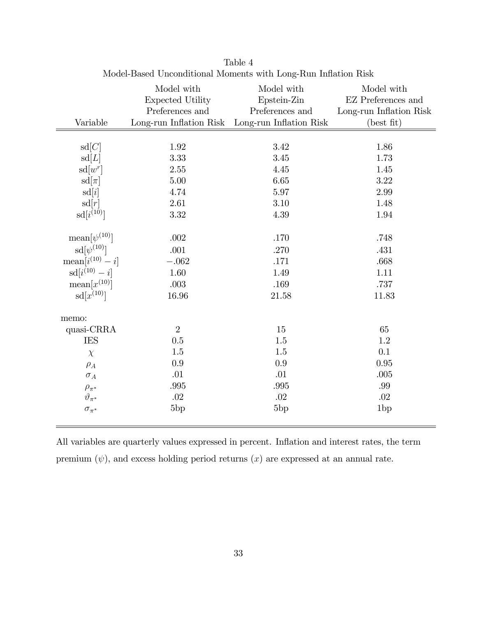|                             | Model with<br><b>Expected Utility</b> | Model with<br>Epstein-Zin                                          | Model with<br><b>EZ</b> Preferences and |
|-----------------------------|---------------------------------------|--------------------------------------------------------------------|-----------------------------------------|
| Variable                    | Preferences and                       | Preferences and<br>Long-run Inflation Risk Long-run Inflation Risk | Long-run Inflation Risk<br>(best fit)   |
|                             |                                       |                                                                    |                                         |
| sd[C]                       | 1.92                                  | 3.42                                                               | 1.86                                    |
| sd[L]                       | 3.33                                  | 3.45                                                               | 1.73                                    |
| $sd[w^r]$                   | 2.55                                  | 4.45                                                               | 1.45                                    |
| $sd[\pi]$                   | 5.00                                  | 6.65                                                               | 3.22                                    |
| sd[i]                       | 4.74                                  | 5.97                                                               | 2.99                                    |
| sd[r]                       | 2.61                                  | 3.10                                                               | 1.48                                    |
| $sd[i^{(10)}]$              | 3.32                                  | 4.39                                                               | 1.94                                    |
|                             |                                       |                                                                    |                                         |
| $\text{mean}[\psi^{(10)}]$  | .002                                  | .170                                                               | .748                                    |
| $sd[\psi^{(10)}]$           | .001                                  | .270                                                               | .431                                    |
| $\text{mean}[i^{(10)} - i]$ | $-.062$                               | .171                                                               | .668                                    |
| $sd[i^{(10)} - i]$          | 1.60                                  | 1.49                                                               | 1.11                                    |
| $\text{mean}[x^{(10)}]$     | .003                                  | .169                                                               | .737                                    |
| $sd[x^{(10)}]$              | 16.96                                 | 21.58                                                              | 11.83                                   |
|                             |                                       |                                                                    |                                         |
| memo:                       |                                       |                                                                    |                                         |
| quasi-CRRA                  | $\overline{2}$                        | 15                                                                 | 65                                      |
| <b>IES</b>                  | 0.5                                   | 1.5                                                                | 1.2                                     |
| $\chi$                      | 1.5                                   | $1.5\,$                                                            | 0.1                                     |
| $\rho_A$                    | 0.9                                   | 0.9                                                                | 0.95                                    |
| $\sigma_A$                  | .01                                   | .01                                                                | .005                                    |
| $\rho_{\pi^*}$              | .995                                  | .995                                                               | .99                                     |
| $\vartheta_{\pi^*}$         | .02                                   | .02                                                                | .02                                     |
| $\sigma_{\pi^*}$            | 5bp                                   | 5bp                                                                | 1bp                                     |

Table 4 Model-Based Unconditional Moments with Long-Run Inflation Risk

All variables are quarterly values expressed in percent. Inflation and interest rates, the term premium  $(\psi)$ , and excess holding period returns  $(x)$  are expressed at an annual rate.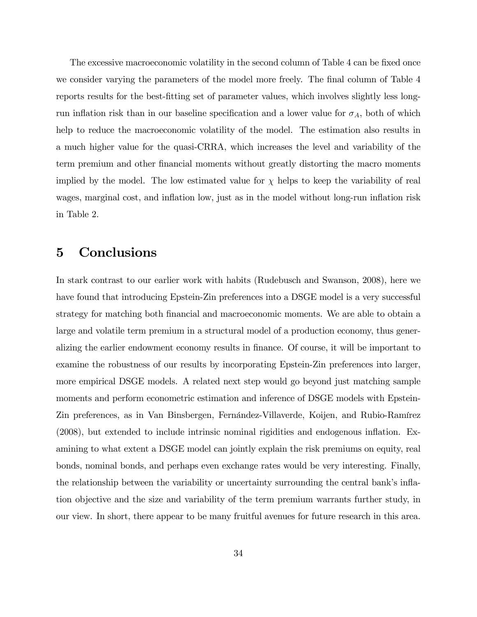The excessive macroeconomic volatility in the second column of Table 4 can be fixed once we consider varying the parameters of the model more freely. The final column of Table 4 reports results for the best-fitting set of parameter values, which involves slightly less longrun inflation risk than in our baseline specification and a lower value for  $\sigma_A$ , both of which help to reduce the macroeconomic volatility of the model. The estimation also results in a much higher value for the quasi-CRRA, which increases the level and variability of the term premium and other Önancial moments without greatly distorting the macro moments implied by the model. The low estimated value for  $\chi$  helps to keep the variability of real wages, marginal cost, and inflation low, just as in the model without long-run inflation risk in Table 2.

### 5 Conclusions

In stark contrast to our earlier work with habits (Rudebusch and Swanson, 2008), here we have found that introducing Epstein-Zin preferences into a DSGE model is a very successful strategy for matching both financial and macroeconomic moments. We are able to obtain a large and volatile term premium in a structural model of a production economy, thus generalizing the earlier endowment economy results in Önance. Of course, it will be important to examine the robustness of our results by incorporating Epstein-Zin preferences into larger, more empirical DSGE models. A related next step would go beyond just matching sample moments and perform econometric estimation and inference of DSGE models with Epstein-Zin preferences, as in Van Binsbergen, Fernández-Villaverde, Koijen, and Rubio-Ramírez  $(2008)$ , but extended to include intrinsic nominal rigidities and endogenous inflation. Examining to what extent a DSGE model can jointly explain the risk premiums on equity, real bonds, nominal bonds, and perhaps even exchange rates would be very interesting. Finally, the relationship between the variability or uncertainty surrounding the central bank's inflation objective and the size and variability of the term premium warrants further study, in our view. In short, there appear to be many fruitful avenues for future research in this area.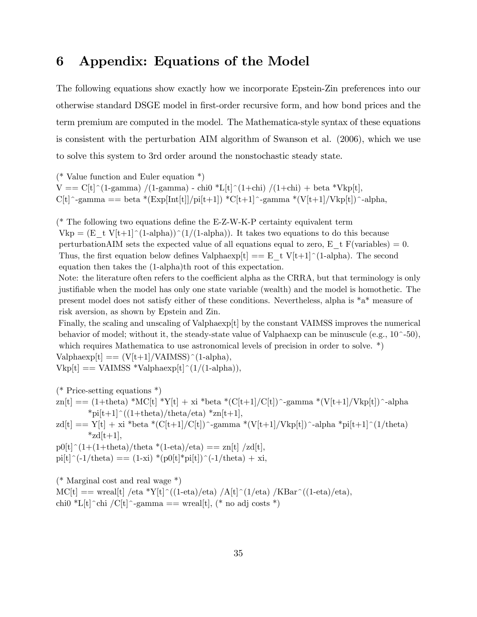### 6 Appendix: Equations of the Model

The following equations show exactly how we incorporate Epstein-Zin preferences into our otherwise standard DSGE model in Örst-order recursive form, and how bond prices and the term premium are computed in the model. The Mathematica-style syntax of these equations is consistent with the perturbation AIM algorithm of Swanson et al. (2006), which we use to solve this system to 3rd order around the nonstochastic steady state.

(\* Value function and Euler equation \*)  $V = C[t]^{(1-1)}(1-1)$  /(1-gamma) - chi0 \*L[t]<sup>{</sup>(1+chi) /(1+chi) + beta \*Vkp[t],  $C[t]$ <sup>-</sup>-gamma == beta \*(Exp[Int[t]]/pi[t+1]) \*C[t+1]<sup>-</sup>-gamma \*(V[t+1]/Vkp[t])<sup>-</sup>-alpha,

 $(*$  The following two equations define the E-Z-W-K-P certainty equivalent term  $Vkp = (E_t V[t+1]^{(1-a]pha)})^{(1/(1-a]pha)})$ . It takes two equations to do this because perturbationAIM sets the expected value of all equations equal to zero, E\_t F(variables) = 0. Thus, the first equation below defines Valphaexp[t]  $== E_t V[t+1]$ <sup> $\cap$ </sup>(1-alpha). The second equation then takes the (1-alpha)th root of this expectation.

Note: the literature often refers to the coefficient alpha as the CRRA, but that terminology is only justifiable when the model has only one state variable (wealth) and the model is homothetic. The present model does not satisfy either of these conditions. Nevertheless, alpha is \*a\* measure of risk aversion, as shown by Epstein and Zin.

Finally, the scaling and unscaling of Valphaexp[t] by the constant VAIMSS improves the numerical behavior of model; without it, the steady-state value of Valphaexp can be minuscule (e.g.,  $10^{\degree}$ -50), which requires Mathematica to use astronomical levels of precision in order to solve.  $*)$  $Valphaexp[t] = (V[t+1]/VAIMSS)^(1-alpha),$ 

 $Vkp[t] == VAIMSS *Valphaexp[t]^(1/(1-alpha)),$ 

(\* Price-setting equations \*)

 $z_n[t] = (1+theta)^*MC[t] * Y[t] + xi^*beta * (C[t+1]/C[t]) \text{ and } * (V[t+1]/Vkp[t]) \text{ -alpha}$  $*pi[t+1]$ <sup> $\cdot$ </sup>((1+theta)/theta/eta)  $*zn[t+1]$ ,

 $zdl[t] == Y[t] + xi * beta * (C[t+1]/C[t]) \hat{-}gamma * (V[t+1]/Vkp[t]) \hat{-}alpha * pi[t+1] \hat{(1/theta)}$  $*_{zd}[t+1],$ 

 $p0[t]^{(1+1+t) + \text{theta}}/t$ heta \*(1-eta)/eta) == zn[t] /zd[t],  $pi[t]^(-1/\text{theta}) = (1-xi) * (p0[t]*pi[t])^(-1/\text{theta}) + xi,$ 

(\* Marginal cost and real wage \*)  $MC[t] ==$  wreal[t] /eta \*Y[t]^((1-eta)/eta) /A[t]^(1/eta) /KBar^((1-eta)/eta), chi0 \*L[t]^chi /C[t]^-gamma == wreal[t], (\* no adj costs \*)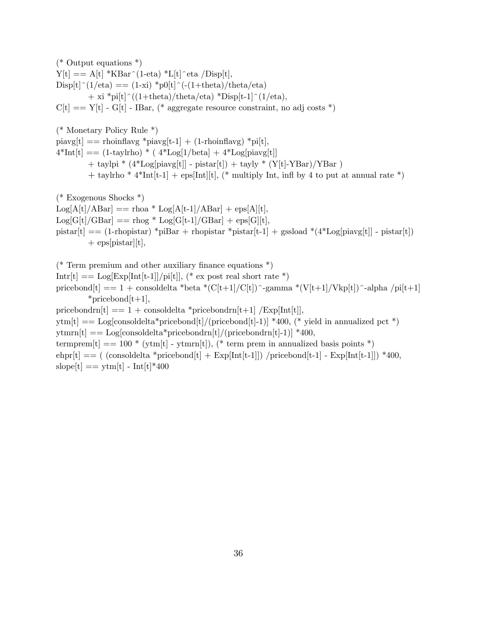(\* Output equations \*)  $Y[t] == A[t] * KBar^(1-eta) *L[t] * eta /Disp[t],$  $Disp[t]^{(1/\text{eta})} = (1-xi) *p0[t]^{(-1+\text{theta})/\text{theta}/\text{eta}/\text{eta})}$  $+\overline{\text{xi}}$  \*pi[t]^((1+theta)/theta/eta) \*Disp[t-1]^(1/eta),  $C[t] == Y[t] - G[t] - IBar$ , (\* aggregate resource constraint, no adj costs \*) (\* Monetary Policy Rule \*)

 $pi\gamma[t] == \text{rhoinflavg} * \text{pi}\gamma[t-1] + (1\text{-rhoinflavg}) * \text{pi}[t],$  $4*Int[t] == (1-taylrho) * (4*Log[1/beta] + 4*Log[piavg[t]])$  $+$  taylpi \*  $(4 * Log[piavg[t]] - pistar[t]) + tayly * (Y[t]-YBar)/YBar$ ) + taylrho \*  $4*Int[t-1]$  + eps[Int][t], (\* multiply Int, infl by 4 to put at annual rate \*)

(\* Exogenous Shocks \*)  $Log[A[t]/ABar] ==$  rhoa \*  $Log[A[t-1]/ABar] + exp[A][t],$  $Log[G[t]/GBar] == rhog * Log[G[t-1]/GBar] + eps[G][t],$ pistar[t]  $=$  (1-rhopistar) \*piBar + rhopistar \*pistar[t-1] + gssload \*(4\*Log[piavg[t]] - pistar[t])  $+$  eps[pistar][t],

(\* Term premium and other auxiliary finance equations  $*$ ) Intr[t]  $=$  Log[Exp[Int[t-1]]/pi[t]], (\* ex post real short rate \*) pricebond $[t] == 1 +$ consoldelta \*beta \* $(C[t+1]/C[t])$  -gamma \* $(V[t+1]/Vkp[t])$  -alpha /pi[t+1] \*pricebond $[t+1]$ , pricebondrn $[t] == 1 +$ consoldelta \*pricebondrn $[t+1]$  /Exp[Int[t]],  $ytm[t] == Log[consider a * pricebond[t]/(pricebond[t]-1)] * 400, (* yield in annualized pet *)$  $\text{ythm}[\text{t}] == \text{Log}[\text{consoldelta*pricebondrn}[\text{t}]/(\text{pricebondrn}[\text{t}]-1)]$  \*400, termprem $[t] == 100 * (ytm[t] - ytmrn[t]),$  (\* term prem in annualized basis points \*) ehpr $[t] == ($  (consoldelta \*pricebond $[t] + Exp[Int[t-1]])$  /pricebond $[t-1] - Exp[Int[t-1]])$  \*400, slope<sup>[t]</sup> == ytm<sup>[t]</sup> - Int<sup>[t]\*400</sup>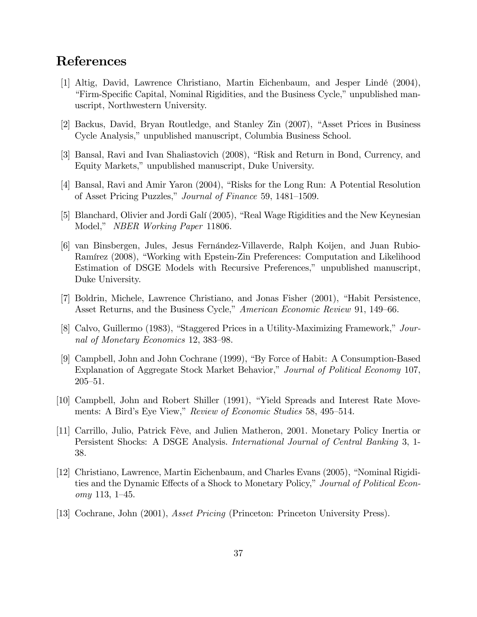# References

- [1] Altig, David, Lawrence Christiano, Martin Eichenbaum, and Jesper LindÈ (2004), Eirm-Specific Capital, Nominal Rigidities, and the Business Cycle," unpublished manuscript, Northwestern University.
- [2] Backus, David, Bryan Routledge, and Stanley Zin (2007), "Asset Prices in Business Cycle Analysis," unpublished manuscript, Columbia Business School.
- [3] Bansal, Ravi and Ivan Shaliastovich (2008), "Risk and Return in Bond, Currency, and Equity Markets," unpublished manuscript, Duke University.
- [4] Bansal, Ravi and Amir Yaron (2004), "Risks for the Long Run: A Potential Resolution of Asset Pricing Puzzles," Journal of Finance 59, 1481–1509.
- [5] Blanchard, Olivier and Jordi Galí (2005), "Real Wage Rigidities and the New Keynesian Model," NBER Working Paper 11806.
- [6] van Binsbergen, Jules, Jesus Fernández-Villaverde, Ralph Koijen, and Juan Rubio-Ramírez (2008), "Working with Epstein-Zin Preferences: Computation and Likelihood Estimation of DSGE Models with Recursive Preferences," unpublished manuscript, Duke University.
- [7] Boldrin, Michele, Lawrence Christiano, and Jonas Fisher (2001), "Habit Persistence, Asset Returns, and the Business Cycle," American Economic Review 91, 149–66.
- [8] Calvo, Guillermo (1983), "Staggered Prices in a Utility-Maximizing Framework,"  $Jour$ nal of Monetary Economics 12, 383–98.
- [9] Campbell, John and John Cochrane (1999), "By Force of Habit: A Consumption-Based Explanation of Aggregate Stock Market Behavior," Journal of Political Economy 107,  $205 - 51.$
- [10] Campbell, John and Robert Shiller (1991), "Yield Spreads and Interest Rate Movements: A Bird's Eye View," Review of Economic Studies 58, 495–514.
- [11] Carrillo, Julio, Patrick FËve, and Julien Matheron, 2001. Monetary Policy Inertia or Persistent Shocks: A DSGE Analysis. International Journal of Central Banking 3, 1- 38.
- [12] Christiano, Lawrence, Martin Eichenbaum, and Charles Evans (2005), "Nominal Rigidities and the Dynamic Effects of a Shock to Monetary Policy," Journal of Political Economy 113, 1–45.
- [13] Cochrane, John (2001), Asset Pricing (Princeton: Princeton University Press).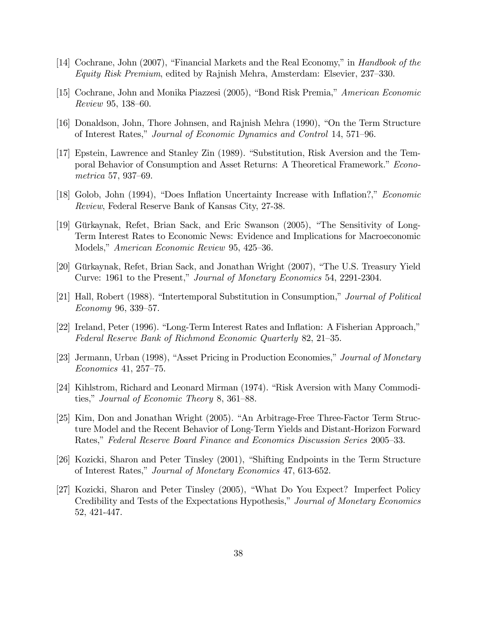- [14] Cochrane, John (2007), "Financial Markets and the Real Economy," in Handbook of the Equity Risk Premium, edited by Rajnish Mehra, Amsterdam: Elsevier,  $237-330$ .
- [15] Cochrane, John and Monika Piazzesi (2005), "Bond Risk Premia," American Economic  $Review 95, 138–60.$
- [16] Donaldson, John, Thore Johnsen, and Rajnish Mehra (1990), "On the Term Structure of Interest Rates," Journal of Economic Dynamics and Control 14, 571–96.
- [17] Epstein, Lawrence and Stanley Zin (1989). "Substitution, Risk Aversion and the Temporal Behavior of Consumption and Asset Returns: A Theoretical Framework.<sup>n</sup> Econometrica 57, 937–69.
- [18] Golob, John (1994), "Does Inflation Uncertainty Increase with Inflation?," Economic Review, Federal Reserve Bank of Kansas City, 27-38.
- [19] Gürkaynak, Refet, Brian Sack, and Eric Swanson (2005), "The Sensitivity of Long-Term Interest Rates to Economic News: Evidence and Implications for Macroeconomic Models," American Economic Review 95, 425–36.
- [20] Gürkaynak, Refet, Brian Sack, and Jonathan Wright (2007), "The U.S. Treasury Yield Curve: 1961 to the Present," Journal of Monetary Economics 54, 2291-2304.
- [21] Hall, Robert (1988). "Intertemporal Substitution in Consumption," Journal of Political Economy 96, 339–57.
- $[22]$  Ireland, Peter (1996). "Long-Term Interest Rates and Inflation: A Fisherian Approach," Federal Reserve Bank of Richmond Economic Quarterly 82, 21–35.
- [23] Jermann, Urban (1998), "Asset Pricing in Production Economies," Journal of Monetary  $Economics\ 41, 257–75.$
- [24] Kihlstrom, Richard and Leonard Mirman (1974). "Risk Aversion with Many Commodities," Journal of Economic Theory 8, 361–88.
- [25] Kim, Don and Jonathan Wright (2005). "An Arbitrage-Free Three-Factor Term Structure Model and the Recent Behavior of Long-Term Yields and Distant-Horizon Forward Rates," Federal Reserve Board Finance and Economics Discussion Series 2005–33.
- [26] Kozicki, Sharon and Peter Tinsley (2001), "Shifting Endpoints in the Term Structure of Interest Rates," Journal of Monetary Economics 47, 613-652.
- [27] Kozicki, Sharon and Peter Tinsley (2005), "What Do You Expect? Imperfect Policy Credibility and Tests of the Expectations Hypothesis," Journal of Monetary Economics 52, 421-447.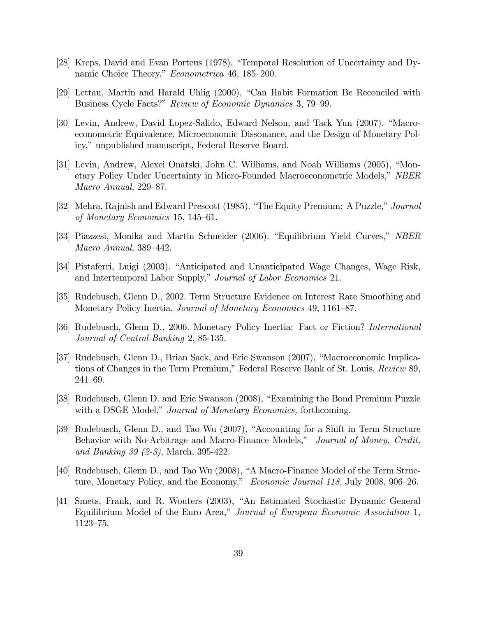- [28] Kreps, David and Evan Porteus (1978), "Temporal Resolution of Uncertainty and Dynamic Choice Theory," Econometrica 46, 185–200.
- [29] Lettau, Martin and Harald Uhlig  $(2000)$ , "Can Habit Formation Be Reconciled with Business Cycle Facts?" Review of Economic Dynamics 3, 79-99.
- [30] Levin, Andrew, David Lopez-Salido, Edward Nelson, and Tack Yun (2007). "Macroeconometric Equivalence, Microeconomic Dissonance, and the Design of Monetary Policy," unpublished manuscript, Federal Reserve Board.
- [31] Levin, Andrew, Alexei Onatski, John C. Williams, and Noah Williams (2005), "Monetary Policy Under Uncertainty in Micro-Founded Macroeconometric Models," NBER Macro Annual,  $229-87$ .
- [32] Mehra, Rajnish and Edward Prescott (1985). "The Equity Premium: A Puzzle," Journal of Monetary Economics 15, 145–61.
- [33] Piazzesi, Monika and Martin Schneider (2006). "Equilibrium Yield Curves," NBER  $Macro Annual$ , 389–442.
- [34] Pistaferri, Luigi (2003). "Anticipated and Unanticipated Wage Changes, Wage Risk, and Intertemporal Labor Supply," Journal of Labor Economics 21.
- [35] Rudebusch, Glenn D., 2002. Term Structure Evidence on Interest Rate Smoothing and Monetary Policy Inertia. Journal of Monetary Economics 49, 1161–87.
- [36] Rudebusch, Glenn D., 2006. Monetary Policy Inertia: Fact or Fiction? International Journal of Central Banking 2, 85-135.
- [37] Rudebusch, Glenn D., Brian Sack, and Eric Swanson (2007), "Macroeconomic Implications of Changes in the Term Premium," Federal Reserve Bank of St. Louis, Review 89,  $241 - 69.$
- [38] Rudebusch, Glenn D. and Eric Swanson (2008), "Examining the Bond Premium Puzzle with a DSGE Model," Journal of Monetary Economics, forthcoming.
- [39] Rudebusch, Glenn D., and Tao Wu (2007), "Accounting for a Shift in Term Structure Behavior with No-Arbitrage and Macro-Finance Models," Journal of Money, Credit, and Banking 39 (2-3), March, 395-422.
- [40] Rudebusch, Glenn D., and Tao Wu (2008), "A Macro-Finance Model of the Term Structure, Monetary Policy, and the Economy," Economic Journal 118, July 2008, 906–26.
- [41] Smets, Frank, and R. Wouters (2003), "An Estimated Stochastic Dynamic General Equilibrium Model of the Euro Area," Journal of European Economic Association 1, 1123-75.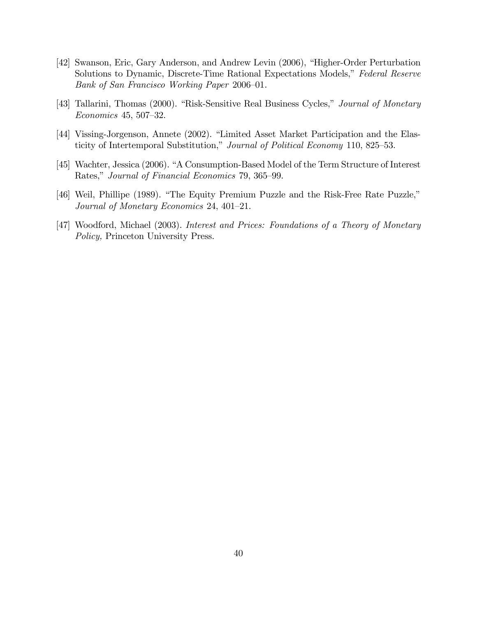- [42] Swanson, Eric, Gary Anderson, and Andrew Levin (2006), "Higher-Order Perturbation Solutions to Dynamic, Discrete-Time Rational Expectations Models," Federal Reserve Bank of San Francisco Working Paper 2006-01.
- [43] Tallarini, Thomas (2000). "Risk-Sensitive Real Business Cycles," Journal of Monetary  $Economics 45, 507-32.$
- [44] Vissing-Jorgenson, Annete (2002). "Limited Asset Market Participation and the Elasticity of Intertemporal Substitution," Journal of Political Economy 110, 825–53.
- [45] Wachter, Jessica (2006). "A Consumption-Based Model of the Term Structure of Interest Rates," Journal of Financial Economics 79, 365-99.
- [46] Weil, Phillipe (1989). "The Equity Premium Puzzle and the Risk-Free Rate Puzzle," Journal of Monetary Economics 24, 401-21.
- [47] Woodford, Michael (2003). *Interest and Prices: Foundations of a Theory of Monetary* Policy, Princeton University Press.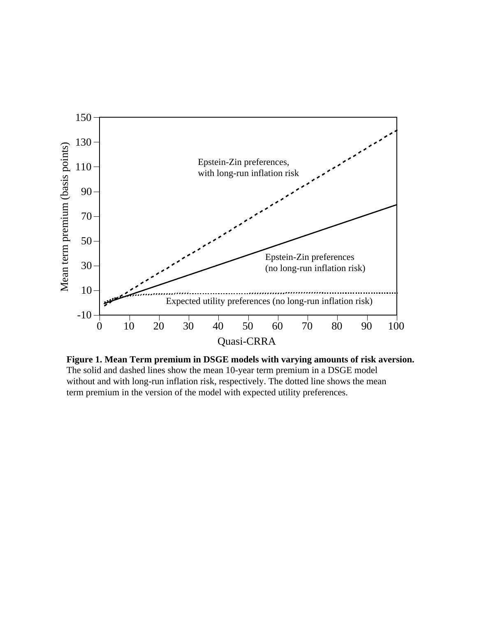

**Figure 1. Mean Term premium in DSGE models with varying amounts of risk aversion.** The solid and dashed lines show the mean 10-year term premium in a DSGE model without and with long-run inflation risk, respectively. The dotted line shows the mean term premium in the version of the model with expected utility preferences.